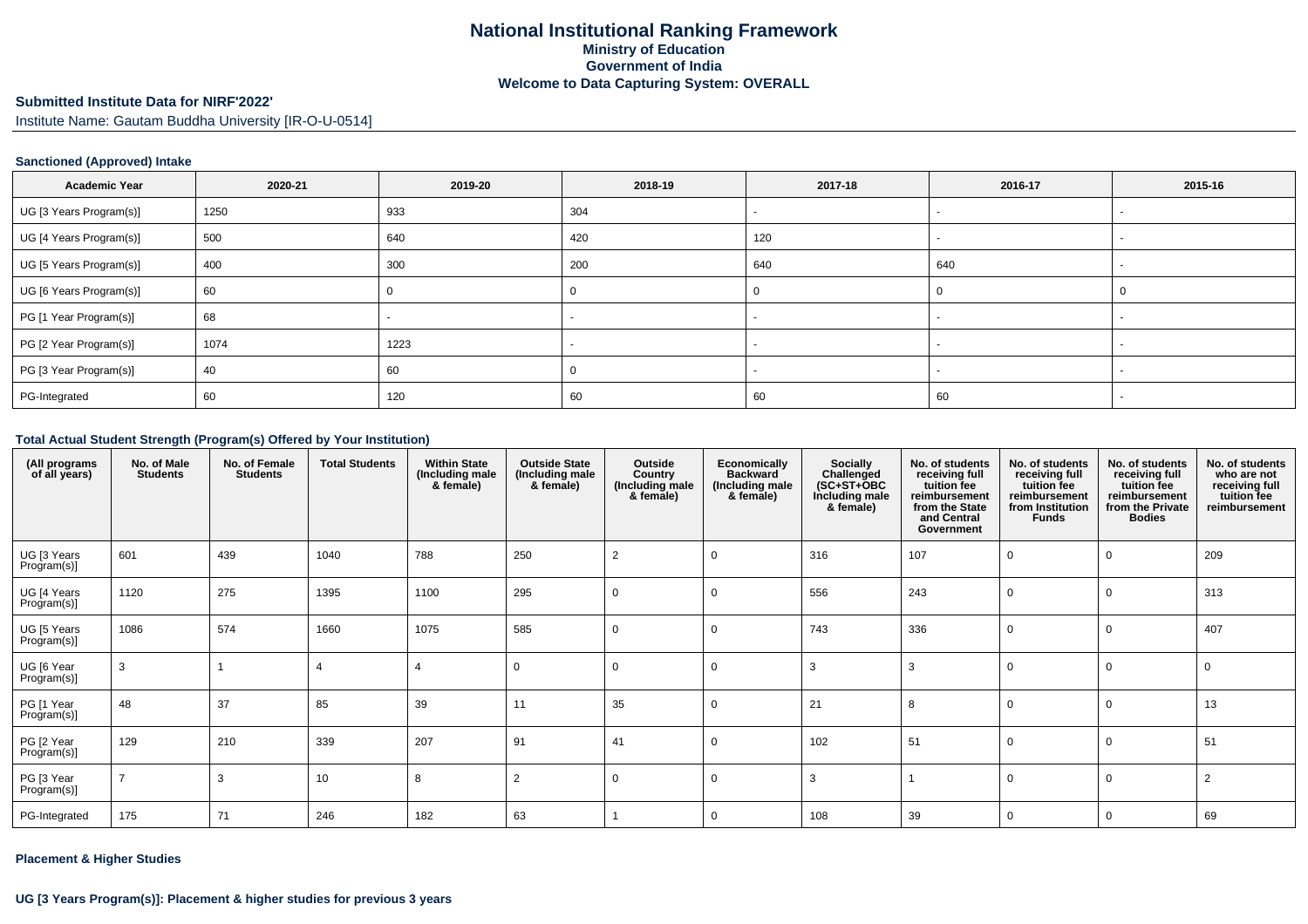# **Submitted Institute Data for NIRF'2022'**

Institute Name: Gautam Buddha University [IR-O-U-0514]

#### **Sanctioned (Approved) Intake**

| <b>Academic Year</b>    | 2020-21 | 2019-20 | 2018-19 | 2017-18 | 2016-17 | 2015-16 |
|-------------------------|---------|---------|---------|---------|---------|---------|
| UG [3 Years Program(s)] | 1250    | 933     | 304     |         |         |         |
| UG [4 Years Program(s)] | 500     | 640     | 420     | 120     |         |         |
| UG [5 Years Program(s)] | 400     | 300     | 200     | 640     | 640     |         |
| UG [6 Years Program(s)] | 60      |         |         |         |         |         |
| PG [1 Year Program(s)]  | 68      |         |         |         |         |         |
| PG [2 Year Program(s)]  | 1074    | 1223    |         |         |         |         |
| PG [3 Year Program(s)]  | 40      | 60      |         |         |         |         |
| PG-Integrated           | 60      | 120     | 60      | 60      | 60      |         |

# **Total Actual Student Strength (Program(s) Offered by Your Institution)**

| (All programs<br>of all years) | No. of Male<br><b>Students</b> | No. of Female<br><b>Students</b> | <b>Total Students</b> | <b>Within State</b><br>(Including male<br>& female) | <b>Outside State</b><br>(Including male<br>& female) | Outside<br>Country<br>(Including male<br>& female) | Economically<br><b>Backward</b><br>(Including male<br>& female) | <b>Socially</b><br>Challenged<br>$(SC+ST+OBC$<br>Including male<br>& female) | No. of students<br>receiving full<br>tuition fee<br>reimbursement<br>from the State<br>and Central<br>Government | No. of students<br>receiving full<br>tuition fee<br>reimbursement<br>from Institution<br><b>Funds</b> | No. of students<br>receiving full<br>tuition fee<br>reimbursement<br>from the Private<br><b>Bodies</b> | No. of students<br>who are not<br>receiving full<br>tuition fee<br>reimbursement |
|--------------------------------|--------------------------------|----------------------------------|-----------------------|-----------------------------------------------------|------------------------------------------------------|----------------------------------------------------|-----------------------------------------------------------------|------------------------------------------------------------------------------|------------------------------------------------------------------------------------------------------------------|-------------------------------------------------------------------------------------------------------|--------------------------------------------------------------------------------------------------------|----------------------------------------------------------------------------------|
| UG [3 Years<br>Program(s)]     | 601                            | 439                              | 1040                  | 788                                                 | 250                                                  | $\overline{2}$                                     |                                                                 | 316                                                                          | 107                                                                                                              | - 0                                                                                                   |                                                                                                        | 209                                                                              |
| UG [4 Years<br>Program(s)]     | 1120                           | 275                              | 1395                  | 1100                                                | 295                                                  | $\mathbf 0$                                        |                                                                 | 556                                                                          | 243                                                                                                              | $\Omega$                                                                                              |                                                                                                        | 313                                                                              |
| UG [5 Years<br>Program(s)]     | 1086                           | 574                              | 1660                  | 1075                                                | 585                                                  | $\mathbf 0$                                        |                                                                 | 743                                                                          | 336                                                                                                              | - 0                                                                                                   |                                                                                                        | 407                                                                              |
| UG [6 Year<br>Program(s)]      | 3                              |                                  | $\overline{4}$        |                                                     | $\Omega$                                             | $\mathbf 0$                                        |                                                                 | 3                                                                            | -3                                                                                                               | $\Omega$                                                                                              | $\mathbf 0$                                                                                            | $\overline{0}$                                                                   |
| PG [1 Year<br>Program(s)]      | 48                             | 37                               | 85                    | 39                                                  | 11                                                   | 35                                                 |                                                                 | 21                                                                           | 8                                                                                                                | $\Omega$                                                                                              | $\Omega$                                                                                               | 13                                                                               |
| PG [2 Year<br>Program(s)]      | 129                            | 210                              | 339                   | 207                                                 | 91                                                   | 41                                                 |                                                                 | 102                                                                          | 51                                                                                                               | $\overline{0}$                                                                                        | $\Omega$                                                                                               | 51                                                                               |
| PG [3 Year<br>Program(s)]      |                                | 3                                | 10                    | 8                                                   | $\overline{2}$                                       | $\Omega$                                           |                                                                 | 3                                                                            |                                                                                                                  | $\Omega$                                                                                              | $\Omega$                                                                                               | $\overline{2}$                                                                   |
| PG-Integrated                  | 175                            | 71                               | 246                   | 182                                                 | 63                                                   |                                                    |                                                                 | 108                                                                          | 39                                                                                                               | $\Omega$                                                                                              | $\Omega$                                                                                               | 69                                                                               |

#### **Placement & Higher Studies**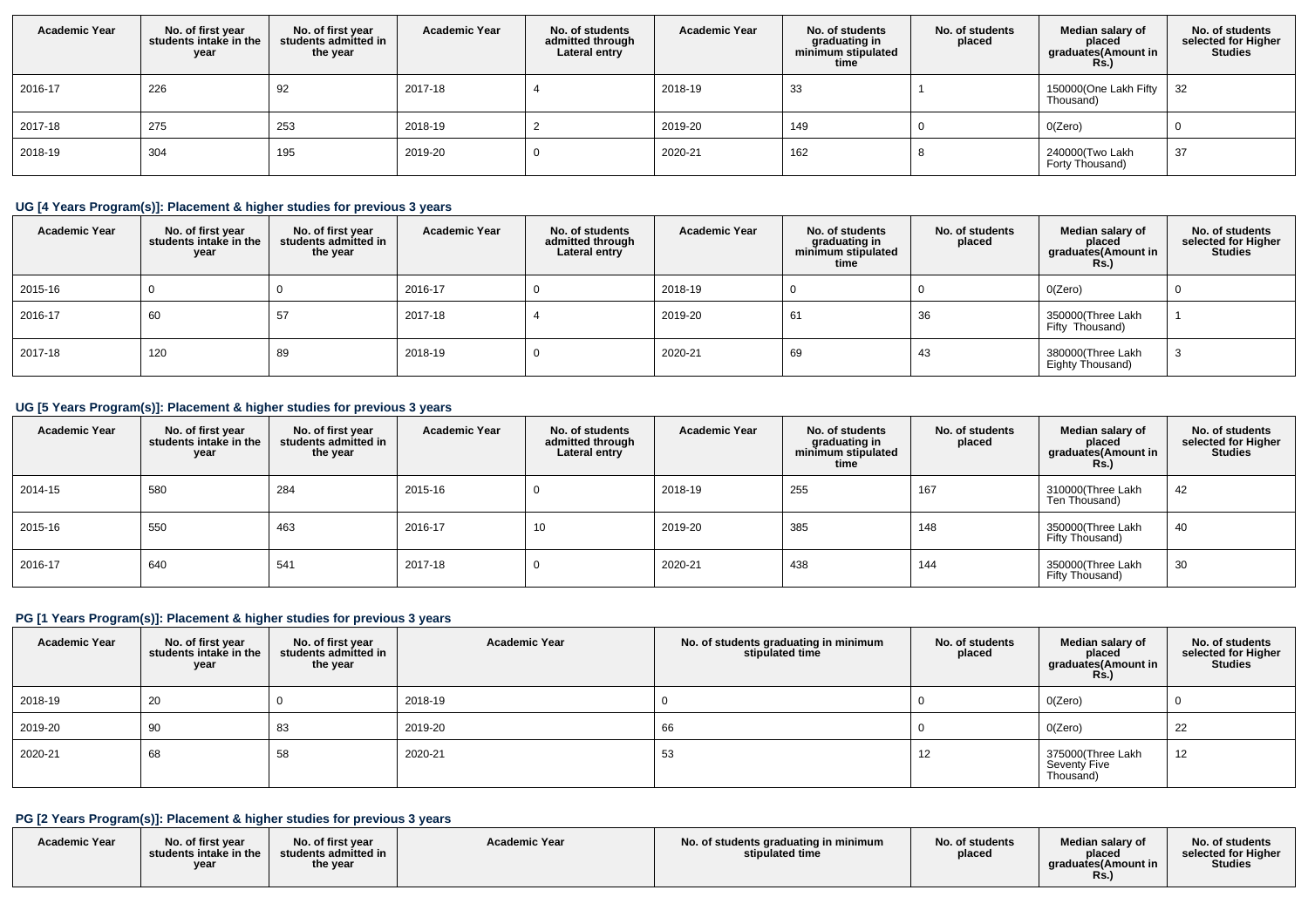| <b>Academic Year</b> | No. of first year<br>students intake in the<br>year | No. of first vear<br>students admitted in<br>the year | <b>Academic Year</b> | No. of students<br>admitted through<br>Lateral entry | <b>Academic Year</b> | No. of students<br>graduating in<br>minimum stipulated<br>time | No. of students<br>placed | Median salary of<br>placed<br>graduates(Amount in<br><b>Rs.)</b> | No. of students<br>selected for Higher<br><b>Studies</b> |
|----------------------|-----------------------------------------------------|-------------------------------------------------------|----------------------|------------------------------------------------------|----------------------|----------------------------------------------------------------|---------------------------|------------------------------------------------------------------|----------------------------------------------------------|
| 2016-17              | 226                                                 | 92                                                    | 2017-18              |                                                      | 2018-19              | -33                                                            |                           | 150000(One Lakh Fifty<br>Thousand)                               | 32                                                       |
| 2017-18              | 275                                                 | 253                                                   | 2018-19              |                                                      | 2019-20              | 149                                                            |                           | O(Zero)                                                          |                                                          |
| 2018-19              | 304                                                 | 195                                                   | 2019-20              |                                                      | 2020-21              | 162                                                            |                           | 240000(Two Lakh<br>Forty Thousand)                               | 37                                                       |

# **UG [4 Years Program(s)]: Placement & higher studies for previous 3 years**

| <b>Academic Year</b> | No. of first year<br>students intake in the<br>year | No. of first year<br>students admitted in<br>the year | <b>Academic Year</b> | No. of students<br>admitted through<br>Lateral entry | <b>Academic Year</b> | No. of students<br>graduating in<br>minimum stipulated<br>time | No. of students<br>placed | Median salary of<br>placed<br>graduates(Amount in<br><b>Rs.</b> ) | No. of students<br>selected for Higher<br><b>Studies</b> |
|----------------------|-----------------------------------------------------|-------------------------------------------------------|----------------------|------------------------------------------------------|----------------------|----------------------------------------------------------------|---------------------------|-------------------------------------------------------------------|----------------------------------------------------------|
| 2015-16              |                                                     |                                                       | 2016-17              |                                                      | 2018-19              |                                                                |                           | O(Zero)                                                           | $\mathbf{0}$                                             |
| 2016-17              | 60                                                  | 57                                                    | 2017-18              |                                                      | 2019-20              | 61                                                             | 36                        | 350000(Three Lakh<br>Fifty Thousand)                              |                                                          |
| 2017-18              | 120                                                 | 89                                                    | 2018-19              |                                                      | 2020-21              | 69                                                             | 43                        | 380000(Three Lakh<br>Eighty Thousand)                             | -3                                                       |

#### **UG [5 Years Program(s)]: Placement & higher studies for previous 3 years**

| <b>Academic Year</b> | No. of first year<br>students intake in the<br>year | No. of first year<br>students admitted in<br>the year | <b>Academic Year</b> | No. of students<br>admitted through<br>Lateral entry | <b>Academic Year</b> | No. of students<br>graduating in<br>minimum stipulated<br>time | No. of students<br>placed | Median salary of<br>placed<br>graduates(Amount in<br>Rs.) | No. of students<br>selected for Higher<br><b>Studies</b> |
|----------------------|-----------------------------------------------------|-------------------------------------------------------|----------------------|------------------------------------------------------|----------------------|----------------------------------------------------------------|---------------------------|-----------------------------------------------------------|----------------------------------------------------------|
| 2014-15              | 580                                                 | 284                                                   | 2015-16              |                                                      | 2018-19              | 255                                                            | 167                       | 310000(Three Lakh<br>Ten Thousand)                        | 42                                                       |
| 2015-16              | 550                                                 | 463                                                   | 2016-17              | 10                                                   | 2019-20              | 385                                                            | 148                       | 350000(Three Lakh<br>Fifty Thousand)                      | 40                                                       |
| 2016-17              | 640                                                 | 541                                                   | 2017-18              |                                                      | 2020-21              | 438                                                            | 144                       | 350000(Three Lakh<br>Fifty Thousand)                      | 30                                                       |

# **PG [1 Years Program(s)]: Placement & higher studies for previous 3 years**

| <b>Academic Year</b> | No. of first year<br>students intake in the<br>year | No. of first year<br>students admitted in<br>the year | <b>Academic Year</b> | No. of students graduating in minimum<br>stipulated time | No. of students<br>placed | Median salary of<br>placed<br>graduates(Amount in<br><b>Rs.)</b> | No. of students<br>selected for Higher<br><b>Studies</b> |
|----------------------|-----------------------------------------------------|-------------------------------------------------------|----------------------|----------------------------------------------------------|---------------------------|------------------------------------------------------------------|----------------------------------------------------------|
| 2018-19              | 20                                                  |                                                       | 2018-19              |                                                          |                           | O(Zero)                                                          |                                                          |
| 2019-20              | 90                                                  | 83                                                    | 2019-20              | 66                                                       |                           | O(Zero)                                                          | 22                                                       |
| 2020-21              | 68                                                  | 58                                                    | 2020-21              | 53                                                       | 12                        | 375000(Three Lakh<br>Seventy Five<br>Thousand)                   | 12                                                       |

# **PG [2 Years Program(s)]: Placement & higher studies for previous 3 years**

| <b>Academic Year</b> | No. of first year<br>students intake in the<br>vear | No. of first year<br>students admitted in<br>the year | <b>Academic Year</b> | No. of students graduating in minimum<br>stipulated time | No. of students<br>placed | Median salary of<br>placed<br>araduates(Amount in<br>Rs. | No. of students<br>selected for Higher<br><b>Studies</b> |
|----------------------|-----------------------------------------------------|-------------------------------------------------------|----------------------|----------------------------------------------------------|---------------------------|----------------------------------------------------------|----------------------------------------------------------|
|----------------------|-----------------------------------------------------|-------------------------------------------------------|----------------------|----------------------------------------------------------|---------------------------|----------------------------------------------------------|----------------------------------------------------------|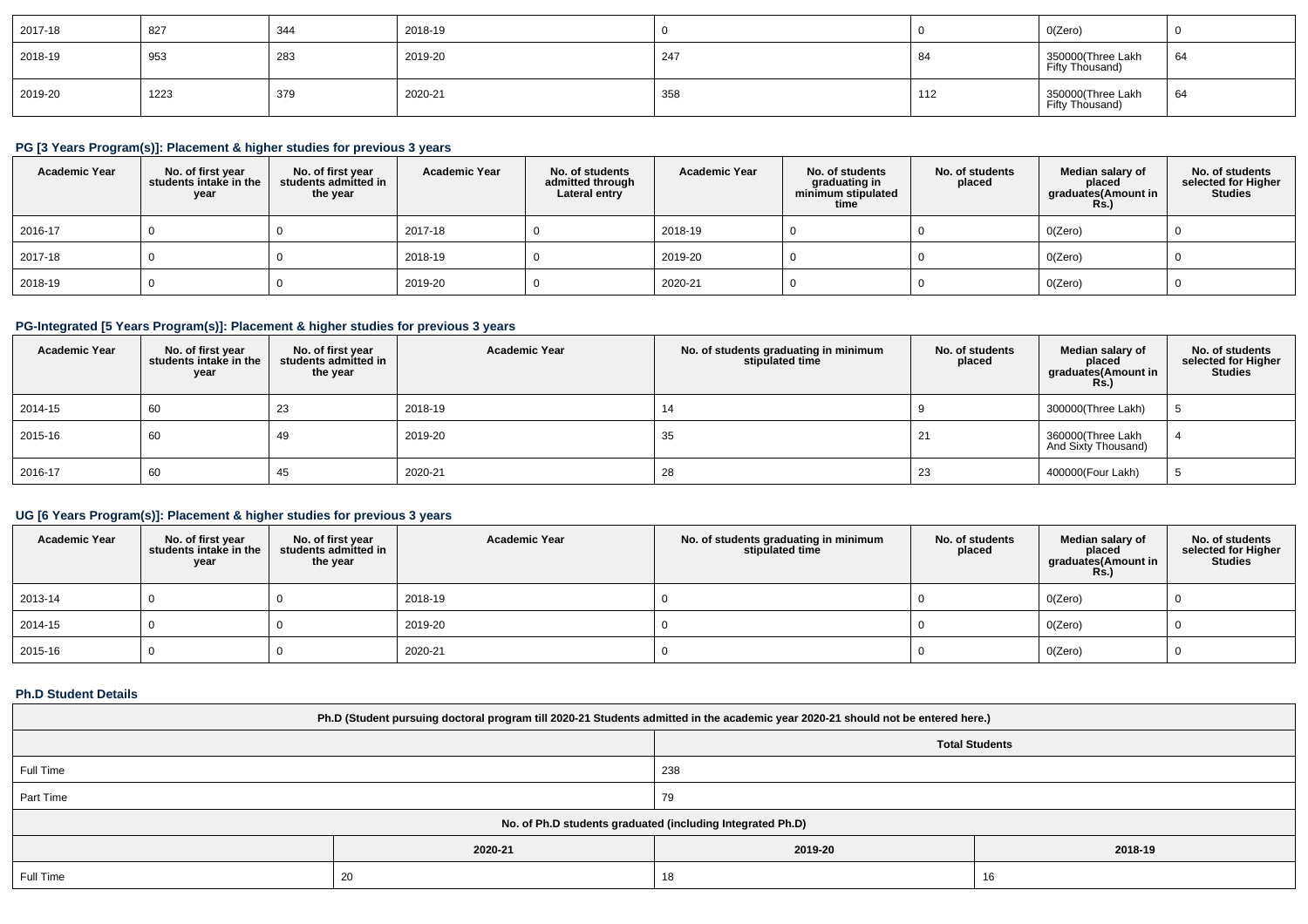| 2017-18 | 827  | 344 | 2018-19 |     |     | O(Zero)                               |    |
|---------|------|-----|---------|-----|-----|---------------------------------------|----|
| 2018-19 | 953  | 283 | 2019-20 | 247 |     | 350000(Three Lakh<br>Fifty Thousand)  | 64 |
| 2019-20 | 1223 | 379 | 2020-21 | 358 | 112 | 350000 (Three Lakh<br>Fifty Thousand) | 64 |

# **PG [3 Years Program(s)]: Placement & higher studies for previous 3 years**

| <b>Academic Year</b> | No. of first year<br>students intake in the<br>year | No. of first year<br>students admitted in<br>the year | <b>Academic Year</b> | No. of students<br>admitted through<br>Lateral entry | <b>Academic Year</b> | No. of students<br>graduating in<br>minimum stipulated<br>time | No. of students<br>placed | Median salary of<br>placed<br>graduates(Amount in<br><b>Rs.)</b> | No. of students<br>selected for Higher<br><b>Studies</b> |
|----------------------|-----------------------------------------------------|-------------------------------------------------------|----------------------|------------------------------------------------------|----------------------|----------------------------------------------------------------|---------------------------|------------------------------------------------------------------|----------------------------------------------------------|
| 2016-17              |                                                     |                                                       | 2017-18              |                                                      | 2018-19              |                                                                |                           | O(Zero)                                                          |                                                          |
| 2017-18              |                                                     |                                                       | 2018-19              |                                                      | 2019-20              |                                                                |                           | O(Zero)                                                          |                                                          |
| 2018-19              |                                                     |                                                       | 2019-20              |                                                      | 2020-21              |                                                                |                           | O(Zero)                                                          |                                                          |

# **PG-Integrated [5 Years Program(s)]: Placement & higher studies for previous 3 years**

| <b>Academic Year</b> | No. of first year<br>students intake in the<br>year | No. of first year<br>students admitted in<br>the year | <b>Academic Year</b> | No. of students graduating in minimum<br>stipulated time | No. of students<br>placed | Median salary of<br>placed<br>graduates(Amount in<br><b>Rs.)</b> | No. of students<br>selected for Higher<br>Studies |
|----------------------|-----------------------------------------------------|-------------------------------------------------------|----------------------|----------------------------------------------------------|---------------------------|------------------------------------------------------------------|---------------------------------------------------|
| 2014-15              | 60                                                  | 23                                                    | 2018-19              | 14                                                       |                           | 300000(Three Lakh)                                               |                                                   |
| 2015-16              | 60                                                  | 49                                                    | 2019-20              | 35                                                       |                           | 360000(Three Lakh<br>And Sixty Thousand)                         |                                                   |
| 2016-17              | 60                                                  | 45                                                    | 2020-21              | 28                                                       | 23                        | 400000(Four Lakh)                                                |                                                   |

# **UG [6 Years Program(s)]: Placement & higher studies for previous 3 years**

| <b>Academic Year</b> | No. of first year<br>students intake in the<br>year | No. of first year<br>students admitted in<br>the year | <b>Academic Year</b> | No. of students graduating in minimum<br>stipulated time | No. of students<br>placed | Median salary of<br>placed<br>graduates(Amount in<br><b>Rs.)</b> | No. of students<br>selected for Higher<br><b>Studies</b> |
|----------------------|-----------------------------------------------------|-------------------------------------------------------|----------------------|----------------------------------------------------------|---------------------------|------------------------------------------------------------------|----------------------------------------------------------|
| 2013-14              |                                                     |                                                       | 2018-19              |                                                          |                           | O(Zero)                                                          |                                                          |
| 2014-15              |                                                     |                                                       | 2019-20              |                                                          |                           | O(Zero)                                                          |                                                          |
| 2015-16              |                                                     |                                                       | 2020-21              |                                                          |                           | O(Zero)                                                          |                                                          |

#### **Ph.D Student Details**

| Ph.D (Student pursuing doctoral program till 2020-21 Students admitted in the academic year 2020-21 should not be entered here.) |                                                            |                       |    |  |  |  |
|----------------------------------------------------------------------------------------------------------------------------------|------------------------------------------------------------|-----------------------|----|--|--|--|
|                                                                                                                                  |                                                            | <b>Total Students</b> |    |  |  |  |
| Full Time<br>238                                                                                                                 |                                                            |                       |    |  |  |  |
| Part Time                                                                                                                        |                                                            | 79                    |    |  |  |  |
|                                                                                                                                  | No. of Ph.D students graduated (including Integrated Ph.D) |                       |    |  |  |  |
| 2020-21<br>2019-20<br>2018-19                                                                                                    |                                                            |                       |    |  |  |  |
| Full Time                                                                                                                        | 20                                                         | 18                    | 16 |  |  |  |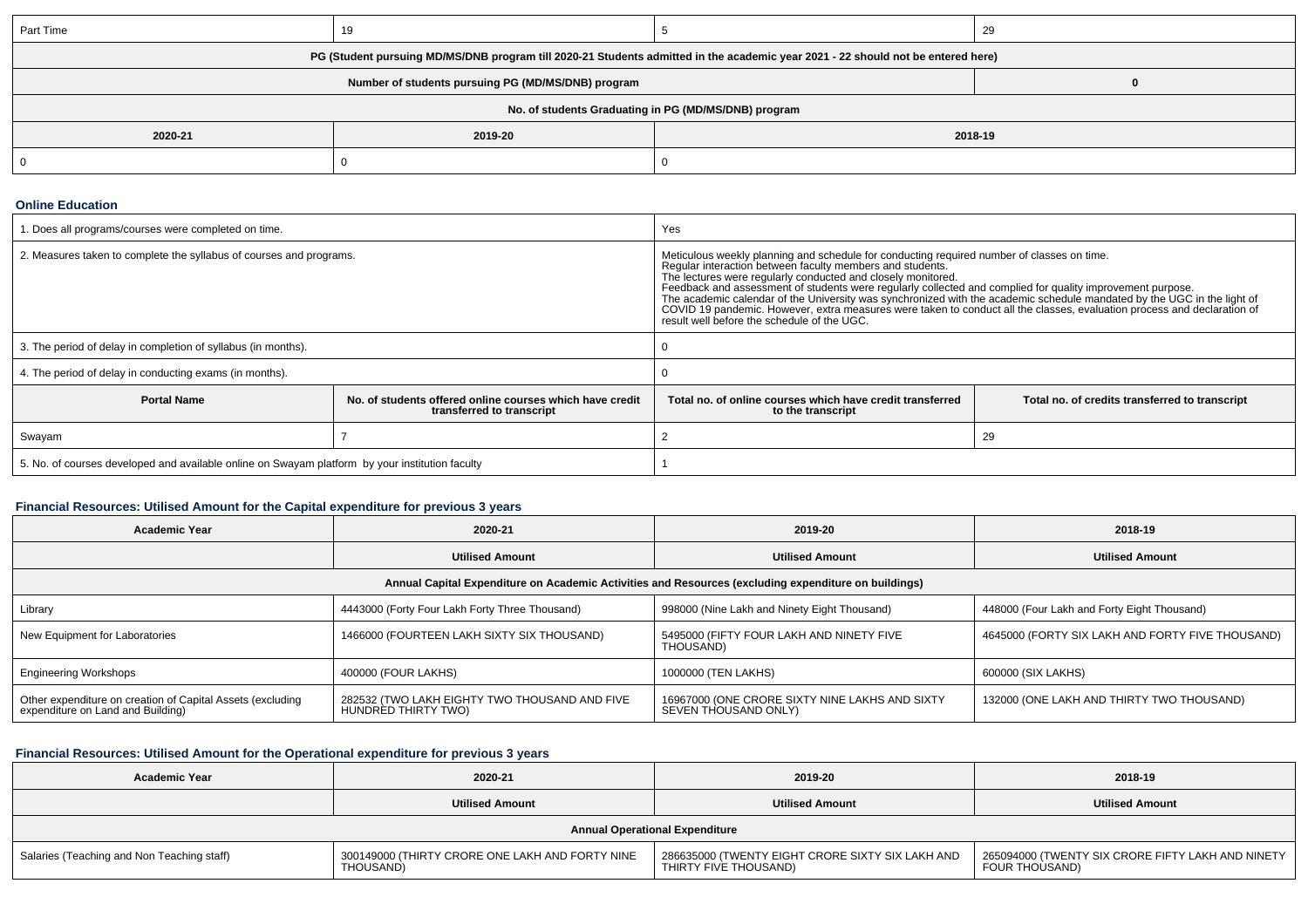| Part Time                                                                                                                        |  |  | 29 |
|----------------------------------------------------------------------------------------------------------------------------------|--|--|----|
| PG (Student pursuing MD/MS/DNB program till 2020-21 Students admitted in the academic year 2021 - 22 should not be entered here) |  |  |    |
| Number of students pursuing PG (MD/MS/DNB) program                                                                               |  |  |    |
| No. of students Graduating in PG (MD/MS/DNB) program                                                                             |  |  |    |
| 2018-19<br>2019-20<br>2020-21                                                                                                    |  |  |    |
|                                                                                                                                  |  |  |    |

#### **Online Education**

| 1. Does all programs/courses were completed on time.                                            | Yes                                                                                   |                                                                                                                                                                                                                                                                                                                                                                                                                                                                                                                                                                                                                                            |  |
|-------------------------------------------------------------------------------------------------|---------------------------------------------------------------------------------------|--------------------------------------------------------------------------------------------------------------------------------------------------------------------------------------------------------------------------------------------------------------------------------------------------------------------------------------------------------------------------------------------------------------------------------------------------------------------------------------------------------------------------------------------------------------------------------------------------------------------------------------------|--|
| 2. Measures taken to complete the syllabus of courses and programs.                             |                                                                                       | Meticulous weekly planning and schedule for conducting required number of classes on time.<br>Regular interaction between faculty members and students.<br>The lectures were regularly conducted and closely monitored.<br>Feedback and assessment of students were regularly collected and complied for quality improvement purpose.<br>The academic calendar of the University was synchronized with the academic schedule mandated by the UGC in the light of<br>COVID 19 pandemic. However, extra measures were taken to conduct all the classes, evaluation process and declaration of<br>result well before the schedule of the UGC. |  |
| 3. The period of delay in completion of syllabus (in months).                                   |                                                                                       |                                                                                                                                                                                                                                                                                                                                                                                                                                                                                                                                                                                                                                            |  |
| 4. The period of delay in conducting exams (in months).                                         |                                                                                       |                                                                                                                                                                                                                                                                                                                                                                                                                                                                                                                                                                                                                                            |  |
| <b>Portal Name</b>                                                                              | No. of students offered online courses which have credit<br>transferred to transcript | Total no. of online courses which have credit transferred<br>Total no. of credits transferred to transcript<br>to the transcript                                                                                                                                                                                                                                                                                                                                                                                                                                                                                                           |  |
| Swayam                                                                                          |                                                                                       | 29                                                                                                                                                                                                                                                                                                                                                                                                                                                                                                                                                                                                                                         |  |
| 5. No. of courses developed and available online on Swayam platform by your institution faculty |                                                                                       |                                                                                                                                                                                                                                                                                                                                                                                                                                                                                                                                                                                                                                            |  |

#### **Financial Resources: Utilised Amount for the Capital expenditure for previous 3 years**

| <b>Academic Year</b>                                                                                 | 2020-21                                                              | 2019-20                                                                | 2018-19                                          |
|------------------------------------------------------------------------------------------------------|----------------------------------------------------------------------|------------------------------------------------------------------------|--------------------------------------------------|
|                                                                                                      | <b>Utilised Amount</b>                                               | <b>Utilised Amount</b>                                                 | <b>Utilised Amount</b>                           |
| Annual Capital Expenditure on Academic Activities and Resources (excluding expenditure on buildings) |                                                                      |                                                                        |                                                  |
| Library                                                                                              | 4443000 (Forty Four Lakh Forty Three Thousand)                       | 998000 (Nine Lakh and Ninety Eight Thousand)                           | 448000 (Four Lakh and Forty Eight Thousand)      |
| New Equipment for Laboratories                                                                       | 1466000 (FOURTEEN LAKH SIXTY SIX THOUSAND)                           | 5495000 (FIFTY FOUR LAKH AND NINETY FIVE<br>THOUSAND)                  | 4645000 (FORTY SIX LAKH AND FORTY FIVE THOUSAND) |
| <b>Engineering Workshops</b>                                                                         | 400000 (FOUR LAKHS)                                                  | 1000000 (TEN LAKHS)                                                    | 600000 (SIX LAKHS)                               |
| Other expenditure on creation of Capital Assets (excluding<br>expenditure on Land and Building)      | 282532 (TWO LAKH EIGHTY TWO THOUSAND AND FIVE<br>HUNDRED THIRTY TWO) | 16967000 (ONE CRORE SIXTY NINE LAKHS AND SIXTY<br>SEVEN THOUSAND ONLY) | 132000 (ONE LAKH AND THIRTY TWO THOUSAND)        |

#### **Financial Resources: Utilised Amount for the Operational expenditure for previous 3 years**

| <b>Academic Year</b>                       | 2020-21                                                      | 2019-20                                                                   | 2018-19                                                               |
|--------------------------------------------|--------------------------------------------------------------|---------------------------------------------------------------------------|-----------------------------------------------------------------------|
|                                            | <b>Utilised Amount</b>                                       | <b>Utilised Amount</b>                                                    | <b>Utilised Amount</b>                                                |
| <b>Annual Operational Expenditure</b>      |                                                              |                                                                           |                                                                       |
| Salaries (Teaching and Non Teaching staff) | 300149000 (THIRTY CRORE ONE LAKH AND FORTY NINE<br>THOUSAND) | 286635000 (TWENTY EIGHT CRORE SIXTY SIX LAKH AND<br>THIRTY FIVE THOUSAND) | 265094000 (TWENTY SIX CRORE FIFTY LAKH AND NINETY  <br>FOUR THOUSAND) |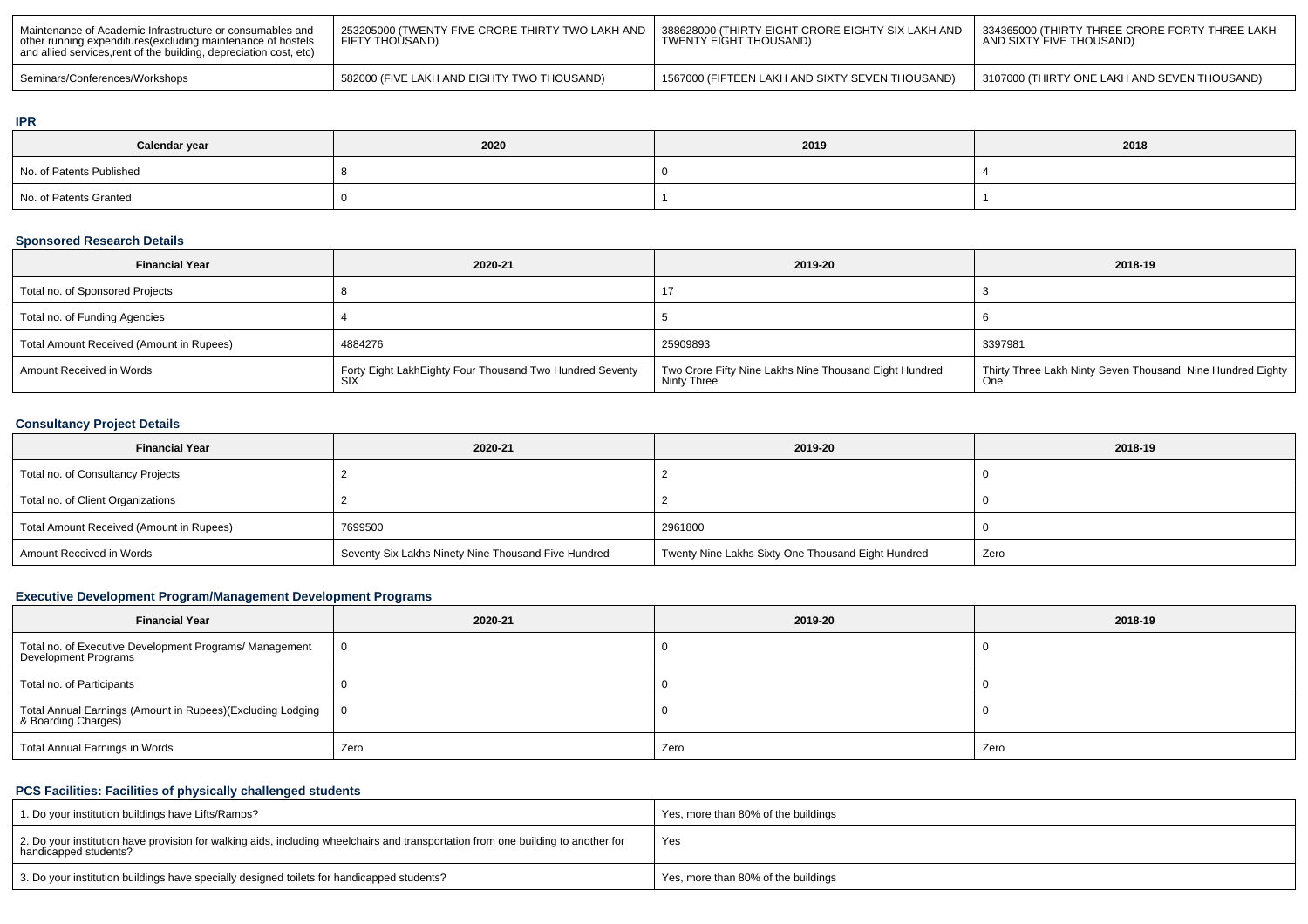| ' Maintenance of Academic Infrastructure or consumables and<br>other running expenditures(excluding maintenance of hostels<br>and allied services, rent of the building, depreciation cost, etc) | 253205000 (TWENTY FIVE CRORE THIRTY TWO LAKH AND 丨 388628000 (THIRTY EIGHT CRORE EIGHTY SIX LAKH AND<br>FIFTY THOUSAND) | TWENTY EIGHT THOUSAND)                          | <sup>1</sup> 334365000 (THIRTY THREE CRORE FORTY THREE LAKH<br>AND SIXTY FIVE THOUSAND) |
|--------------------------------------------------------------------------------------------------------------------------------------------------------------------------------------------------|-------------------------------------------------------------------------------------------------------------------------|-------------------------------------------------|-----------------------------------------------------------------------------------------|
| Seminars/Conferences/Workshops                                                                                                                                                                   | 582000 (FIVE LAKH AND EIGHTY TWO THOUSAND)                                                                              | 1567000 (FIFTEEN LAKH AND SIXTY SEVEN THOUSAND) | 3107000 (THIRTY ONE LAKH AND SEVEN THOUSAND)                                            |

#### **IPR**

| Calendar year            | 2020 | 2019 | 2018 |
|--------------------------|------|------|------|
| No. of Patents Published |      |      |      |
| No. of Patents Granted   |      |      |      |

# **Sponsored Research Details**

| <b>Financial Year</b>                    | 2020-21                                                  | 2019-20                                                                      | 2018-19                                                    |
|------------------------------------------|----------------------------------------------------------|------------------------------------------------------------------------------|------------------------------------------------------------|
| Total no. of Sponsored Projects          |                                                          |                                                                              |                                                            |
| Total no. of Funding Agencies            |                                                          |                                                                              |                                                            |
| Total Amount Received (Amount in Rupees) | 4884276                                                  | 25909893                                                                     | 3397981                                                    |
| Amount Received in Words                 | Forty Eight LakhEighty Four Thousand Two Hundred Seventy | Two Crore Fifty Nine Lakhs Nine Thousand Eight Hundred<br><b>Ninty Three</b> | Thirty Three Lakh Ninty Seven Thousand Nine Hundred Eighty |

# **Consultancy Project Details**

| <b>Financial Year</b>                    | 2020-21                                             | 2019-20                                            | 2018-19 |
|------------------------------------------|-----------------------------------------------------|----------------------------------------------------|---------|
| Total no. of Consultancy Projects        |                                                     |                                                    |         |
| Total no. of Client Organizations        |                                                     |                                                    |         |
| Total Amount Received (Amount in Rupees) | 7699500                                             | 2961800                                            |         |
| Amount Received in Words                 | Seventy Six Lakhs Ninety Nine Thousand Five Hundred | Twenty Nine Lakhs Sixty One Thousand Eight Hundred | Zero    |

# **Executive Development Program/Management Development Programs**

| <b>Financial Year</b>                                                             | 2020-21 | 2019-20 | 2018-19 |
|-----------------------------------------------------------------------------------|---------|---------|---------|
| Total no. of Executive Development Programs/ Management<br>Development Programs   |         |         |         |
| Total no. of Participants                                                         |         |         |         |
| Total Annual Earnings (Amount in Rupees)(Excluding Lodging<br>& Boarding Charges) |         |         |         |
| Total Annual Earnings in Words                                                    | Zero    | Zero    | Zero    |

# **PCS Facilities: Facilities of physically challenged students**

| 1. Do your institution buildings have Lifts/Ramps?                                                                                                         | Yes, more than 80% of the buildings |
|------------------------------------------------------------------------------------------------------------------------------------------------------------|-------------------------------------|
| 2. Do your institution have provision for walking aids, including wheelchairs and transportation from one building to another for<br>handicapped students? | Yes                                 |
| 3. Do your institution buildings have specially designed toilets for handicapped students?                                                                 | Yes, more than 80% of the buildings |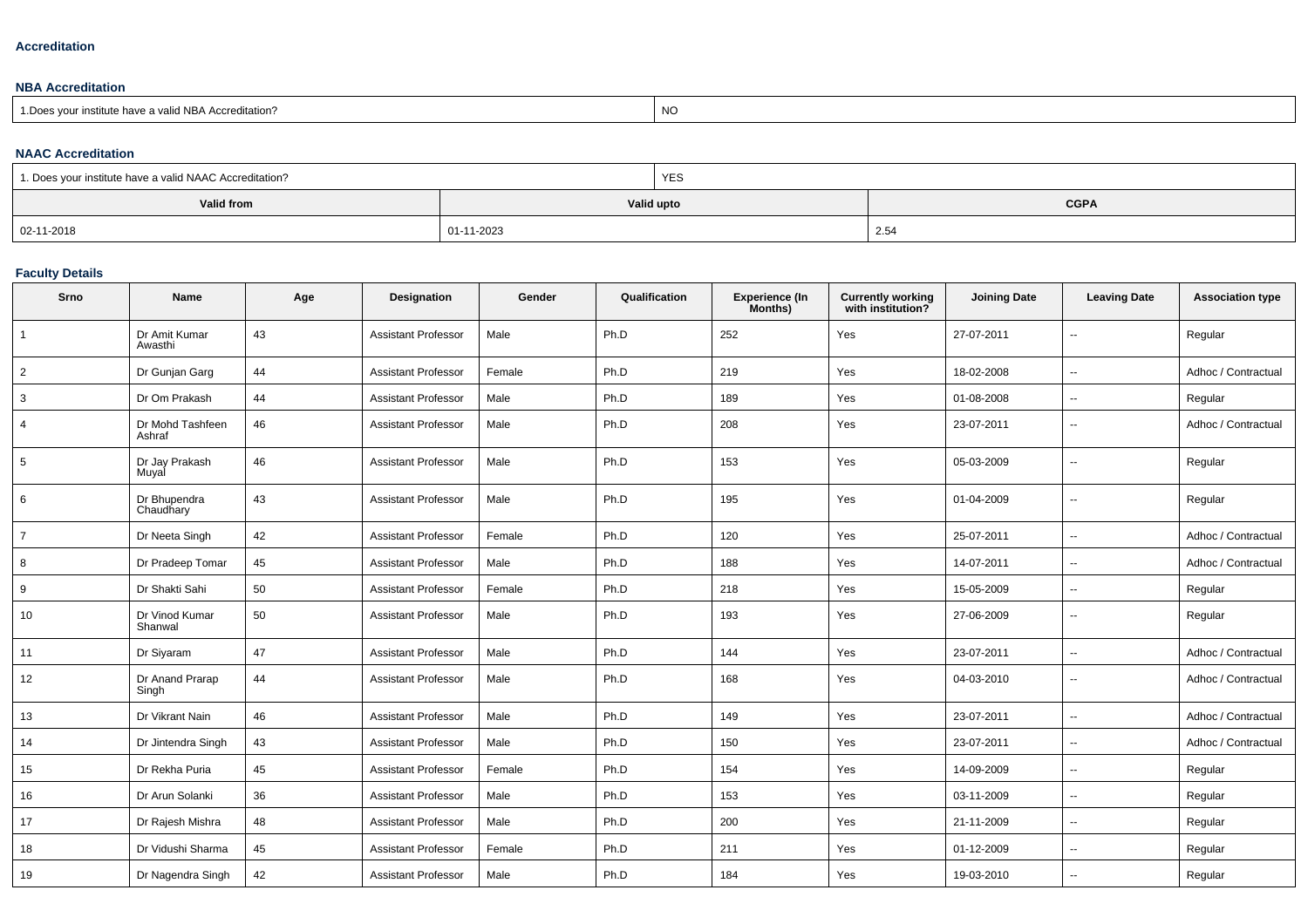#### **Accreditation**

#### **NBA Accreditation**

| 1. Does vour institute have a valid NBA Accreditation? | N |
|--------------------------------------------------------|---|
|                                                        |   |

#### **NAAC Accreditation**

| 1. Does your institute have a valid NAAC Accreditation? |            | YES |             |
|---------------------------------------------------------|------------|-----|-------------|
| Valid from                                              | Valid upto |     | <b>CGPA</b> |
| 02-11-2018                                              | 01-11-2023 |     | 2.54        |

# **Faculty Details**

| Srno           | Name                       | Age | <b>Designation</b>         | Gender | Qualification | <b>Experience (In</b><br>Months) | <b>Currently working</b><br>with institution? | <b>Joining Date</b> | <b>Leaving Date</b>      | <b>Association type</b> |
|----------------|----------------------------|-----|----------------------------|--------|---------------|----------------------------------|-----------------------------------------------|---------------------|--------------------------|-------------------------|
|                | Dr Amit Kumar<br>Awasthi   | 43  | <b>Assistant Professor</b> | Male   | Ph.D          | 252                              | Yes                                           | 27-07-2011          | ٠.                       | Regular                 |
| $\overline{2}$ | Dr Gunjan Garg             | 44  | <b>Assistant Professor</b> | Female | Ph.D          | 219                              | Yes                                           | 18-02-2008          | --                       | Adhoc / Contractual     |
| 3              | Dr Om Prakash              | 44  | <b>Assistant Professor</b> | Male   | Ph.D          | 189                              | Yes                                           | 01-08-2008          | $\overline{\phantom{a}}$ | Regular                 |
| 4              | Dr Mohd Tashfeen<br>Ashraf | 46  | <b>Assistant Professor</b> | Male   | Ph.D          | 208                              | Yes                                           | 23-07-2011          | $\mathbf{u}$             | Adhoc / Contractual     |
| 5              | Dr Jay Prakash<br>Muyal    | 46  | <b>Assistant Professor</b> | Male   | Ph.D          | 153                              | Yes                                           | 05-03-2009          | ٠.                       | Regular                 |
| 6              | Dr Bhupendra<br>Chaudhary  | 43  | <b>Assistant Professor</b> | Male   | Ph.D          | 195                              | Yes                                           | 01-04-2009          | ٠.                       | Regular                 |
| $\overline{7}$ | Dr Neeta Singh             | 42  | <b>Assistant Professor</b> | Female | Ph.D          | 120                              | Yes                                           | 25-07-2011          | $\overline{a}$           | Adhoc / Contractual     |
| 8              | Dr Pradeep Tomar           | 45  | <b>Assistant Professor</b> | Male   | Ph.D          | 188                              | Yes                                           | 14-07-2011          | Ξ.                       | Adhoc / Contractual     |
| 9              | Dr Shakti Sahi             | 50  | <b>Assistant Professor</b> | Female | Ph.D          | 218                              | Yes                                           | 15-05-2009          | ۰.                       | Regular                 |
| 10             | Dr Vinod Kumar<br>Shanwal  | 50  | <b>Assistant Professor</b> | Male   | Ph.D          | 193                              | Yes                                           | 27-06-2009          | --                       | Regular                 |
| 11             | Dr Siyaram                 | 47  | <b>Assistant Professor</b> | Male   | Ph.D          | 144                              | Yes                                           | 23-07-2011          | $\overline{\phantom{a}}$ | Adhoc / Contractual     |
| 12             | Dr Anand Prarap<br>Singh   | 44  | <b>Assistant Professor</b> | Male   | Ph.D          | 168                              | Yes                                           | 04-03-2010          | $\overline{\phantom{a}}$ | Adhoc / Contractual     |
| 13             | Dr Vikrant Nain            | 46  | <b>Assistant Professor</b> | Male   | Ph.D          | 149                              | Yes                                           | 23-07-2011          | u.                       | Adhoc / Contractual     |
| 14             | Dr Jintendra Singh         | 43  | <b>Assistant Professor</b> | Male   | Ph.D          | 150                              | Yes                                           | 23-07-2011          | Ξ.                       | Adhoc / Contractual     |
| 15             | Dr Rekha Puria             | 45  | <b>Assistant Professor</b> | Female | Ph.D          | 154                              | Yes                                           | 14-09-2009          | --                       | Regular                 |
| 16             | Dr Arun Solanki            | 36  | <b>Assistant Professor</b> | Male   | Ph.D          | 153                              | Yes                                           | 03-11-2009          | $\overline{\phantom{a}}$ | Regular                 |
| 17             | Dr Rajesh Mishra           | 48  | <b>Assistant Professor</b> | Male   | Ph.D          | 200                              | Yes                                           | 21-11-2009          | $\overline{a}$           | Regular                 |
| 18             | Dr Vidushi Sharma          | 45  | <b>Assistant Professor</b> | Female | Ph.D          | 211                              | Yes                                           | 01-12-2009          | $\overline{\phantom{a}}$ | Regular                 |
| 19             | Dr Nagendra Singh          | 42  | <b>Assistant Professor</b> | Male   | Ph.D          | 184                              | Yes                                           | 19-03-2010          | $\overline{a}$           | Regular                 |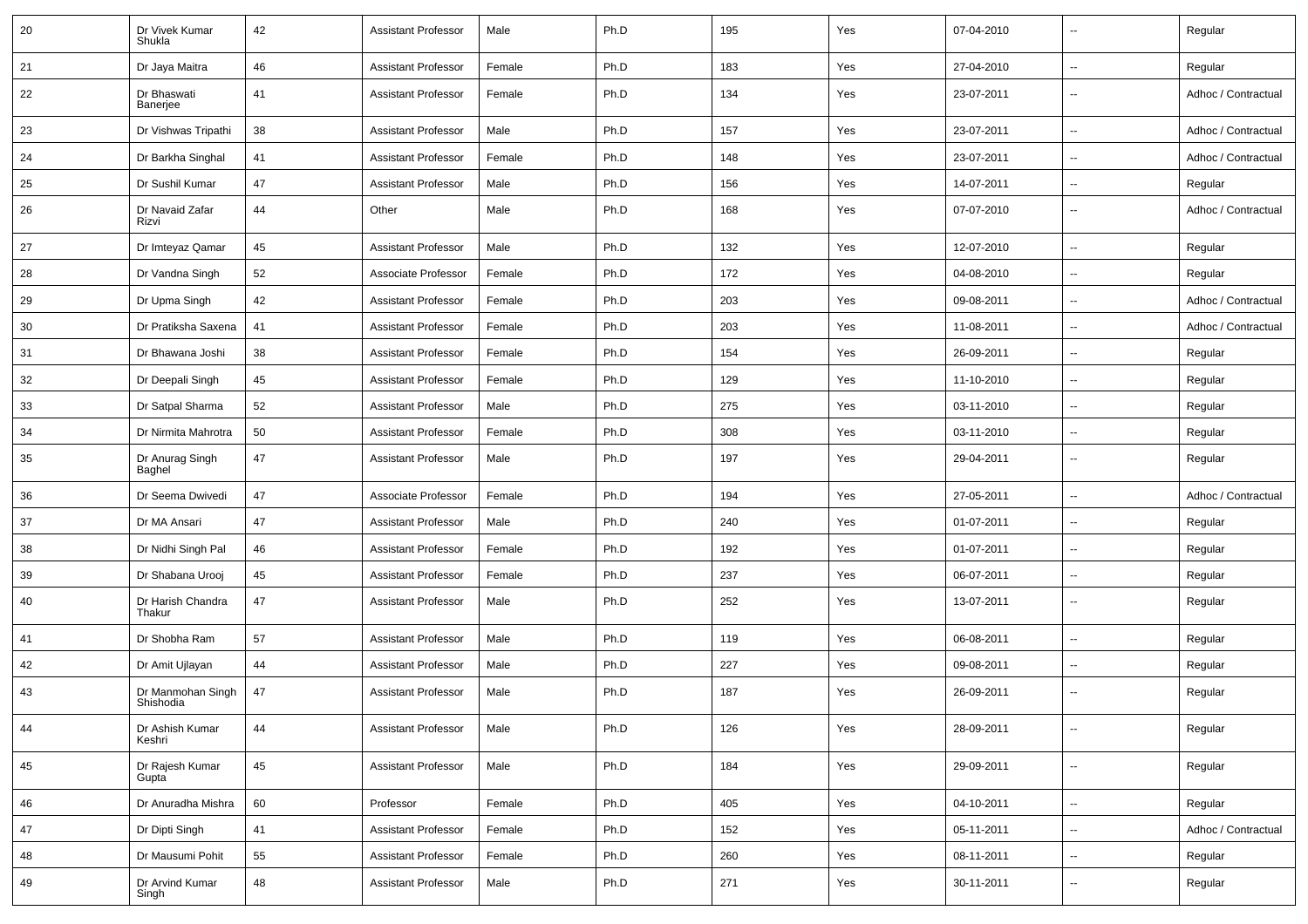| 20 | Dr Vivek Kumar<br>Shukla       | 42 | <b>Assistant Professor</b> | Male   | Ph.D | 195 | Yes | 07-04-2010 | $\overline{\phantom{a}}$ | Regular             |
|----|--------------------------------|----|----------------------------|--------|------|-----|-----|------------|--------------------------|---------------------|
| 21 | Dr Jaya Maitra                 | 46 | <b>Assistant Professor</b> | Female | Ph.D | 183 | Yes | 27-04-2010 | $\overline{\phantom{a}}$ | Regular             |
| 22 | Dr Bhaswati<br>Banerjee        | 41 | <b>Assistant Professor</b> | Female | Ph.D | 134 | Yes | 23-07-2011 | $\overline{\phantom{a}}$ | Adhoc / Contractual |
| 23 | Dr Vishwas Tripathi            | 38 | <b>Assistant Professor</b> | Male   | Ph.D | 157 | Yes | 23-07-2011 | $\overline{\phantom{a}}$ | Adhoc / Contractual |
| 24 | Dr Barkha Singhal              | 41 | <b>Assistant Professor</b> | Female | Ph.D | 148 | Yes | 23-07-2011 | ÷.                       | Adhoc / Contractual |
| 25 | Dr Sushil Kumar                | 47 | <b>Assistant Professor</b> | Male   | Ph.D | 156 | Yes | 14-07-2011 | $\overline{\phantom{a}}$ | Regular             |
| 26 | Dr Navaid Zafar<br>Rizvi       | 44 | Other                      | Male   | Ph.D | 168 | Yes | 07-07-2010 | $\overline{\phantom{a}}$ | Adhoc / Contractual |
| 27 | Dr Imteyaz Qamar               | 45 | <b>Assistant Professor</b> | Male   | Ph.D | 132 | Yes | 12-07-2010 | $\overline{\phantom{a}}$ | Regular             |
| 28 | Dr Vandna Singh                | 52 | Associate Professor        | Female | Ph.D | 172 | Yes | 04-08-2010 | ÷.                       | Regular             |
| 29 | Dr Upma Singh                  | 42 | <b>Assistant Professor</b> | Female | Ph.D | 203 | Yes | 09-08-2011 | $\overline{\phantom{a}}$ | Adhoc / Contractual |
| 30 | Dr Pratiksha Saxena            | 41 | <b>Assistant Professor</b> | Female | Ph.D | 203 | Yes | 11-08-2011 | $\overline{\phantom{a}}$ | Adhoc / Contractual |
| 31 | Dr Bhawana Joshi               | 38 | <b>Assistant Professor</b> | Female | Ph.D | 154 | Yes | 26-09-2011 | ÷.                       | Regular             |
| 32 | Dr Deepali Singh               | 45 | <b>Assistant Professor</b> | Female | Ph.D | 129 | Yes | 11-10-2010 | $\overline{\phantom{a}}$ | Regular             |
| 33 | Dr Satpal Sharma               | 52 | <b>Assistant Professor</b> | Male   | Ph.D | 275 | Yes | 03-11-2010 | $\overline{\phantom{a}}$ | Regular             |
| 34 | Dr Nirmita Mahrotra            | 50 | <b>Assistant Professor</b> | Female | Ph.D | 308 | Yes | 03-11-2010 | L.                       | Regular             |
| 35 | Dr Anurag Singh<br>Baghel      | 47 | <b>Assistant Professor</b> | Male   | Ph.D | 197 | Yes | 29-04-2011 | $\overline{\phantom{a}}$ | Regular             |
| 36 | Dr Seema Dwivedi               | 47 | Associate Professor        | Female | Ph.D | 194 | Yes | 27-05-2011 | $\overline{\phantom{a}}$ | Adhoc / Contractual |
| 37 | Dr MA Ansari                   | 47 | <b>Assistant Professor</b> | Male   | Ph.D | 240 | Yes | 01-07-2011 | $\overline{\phantom{a}}$ | Regular             |
| 38 | Dr Nidhi Singh Pal             | 46 | <b>Assistant Professor</b> | Female | Ph.D | 192 | Yes | 01-07-2011 | $\overline{\phantom{a}}$ | Regular             |
| 39 | Dr Shabana Urooj               | 45 | <b>Assistant Professor</b> | Female | Ph.D | 237 | Yes | 06-07-2011 | $\overline{\phantom{a}}$ | Regular             |
| 40 | Dr Harish Chandra<br>Thakur    | 47 | <b>Assistant Professor</b> | Male   | Ph.D | 252 | Yes | 13-07-2011 | $\overline{\phantom{a}}$ | Regular             |
| 41 | Dr Shobha Ram                  | 57 | <b>Assistant Professor</b> | Male   | Ph.D | 119 | Yes | 06-08-2011 | $\overline{\phantom{a}}$ | Regular             |
| 42 | Dr Amit Ujlayan                | 44 | <b>Assistant Professor</b> | Male   | Ph.D | 227 | Yes | 09-08-2011 | $\overline{\phantom{a}}$ | Regular             |
| 43 | Dr Manmohan Singh<br>Shishodia | 47 | <b>Assistant Professor</b> | Male   | Ph.D | 187 | Yes | 26-09-2011 | $\overline{\phantom{a}}$ | Regular             |
| 44 | Dr Ashish Kumar<br>Keshri      | 44 | <b>Assistant Professor</b> | Male   | Ph.D | 126 | Yes | 28-09-2011 | $\overline{\phantom{a}}$ | Regular             |
| 45 | Dr Rajesh Kumar<br>Gupta       | 45 | Assistant Professor        | Male   | Ph.D | 184 | Yes | 29-09-2011 | $\overline{\phantom{a}}$ | Regular             |
| 46 | Dr Anuradha Mishra             | 60 | Professor                  | Female | Ph.D | 405 | Yes | 04-10-2011 | $\overline{\phantom{a}}$ | Regular             |
| 47 | Dr Dipti Singh                 | 41 | <b>Assistant Professor</b> | Female | Ph.D | 152 | Yes | 05-11-2011 | $\overline{\phantom{a}}$ | Adhoc / Contractual |
| 48 | Dr Mausumi Pohit               | 55 | <b>Assistant Professor</b> | Female | Ph.D | 260 | Yes | 08-11-2011 | Щ,                       | Regular             |
| 49 | Dr Arvind Kumar<br>Singh       | 48 | <b>Assistant Professor</b> | Male   | Ph.D | 271 | Yes | 30-11-2011 | $\overline{\phantom{a}}$ | Regular             |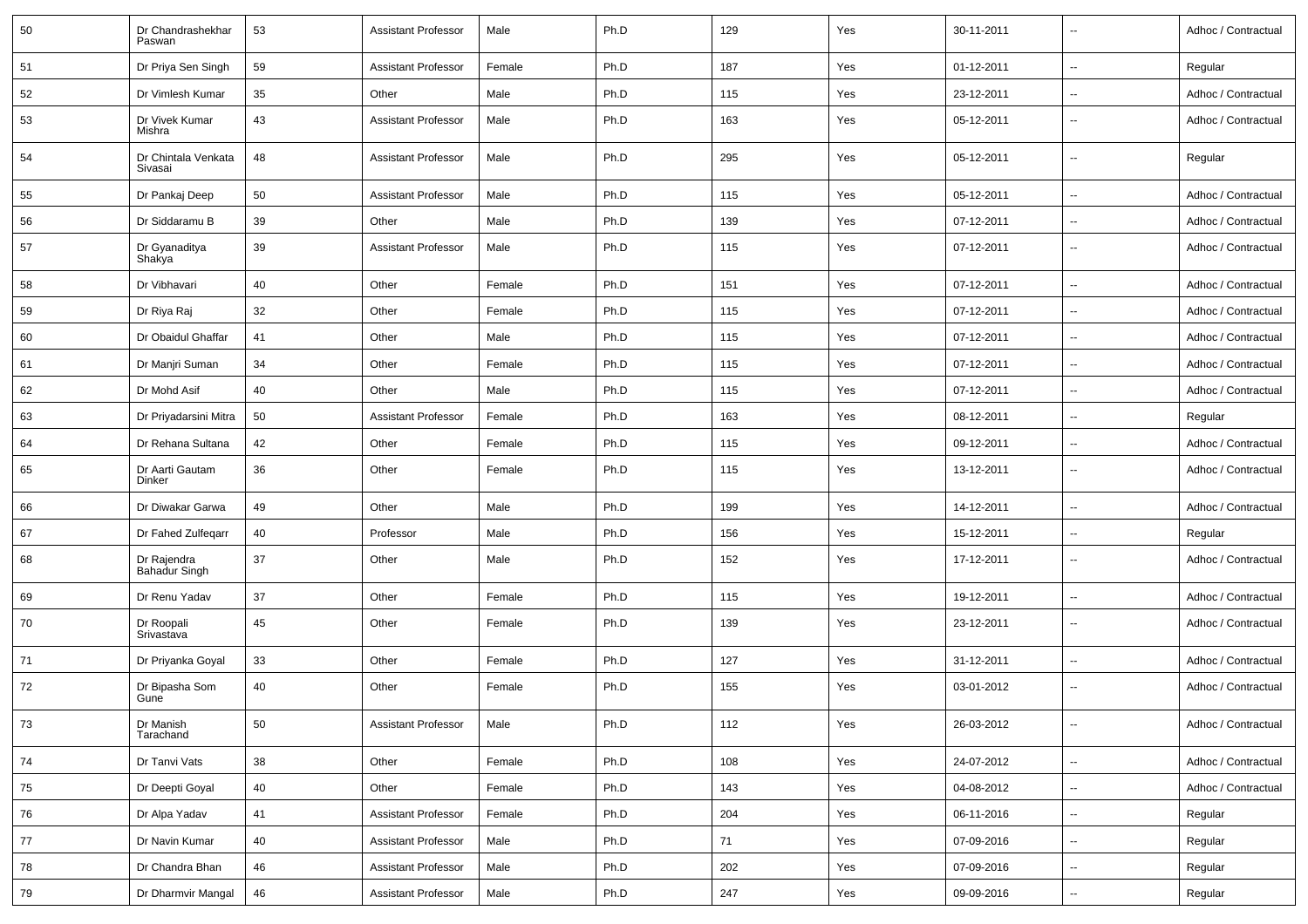| 50 | Dr Chandrashekhar<br>Paswan    | 53 | <b>Assistant Professor</b> | Male   | Ph.D | 129 | Yes | 30-11-2011 | $\sim$                   | Adhoc / Contractual |
|----|--------------------------------|----|----------------------------|--------|------|-----|-----|------------|--------------------------|---------------------|
| 51 | Dr Priya Sen Singh             | 59 | <b>Assistant Professor</b> | Female | Ph.D | 187 | Yes | 01-12-2011 | $\sim$                   | Regular             |
| 52 | Dr Vimlesh Kumar               | 35 | Other                      | Male   | Ph.D | 115 | Yes | 23-12-2011 | $\sim$                   | Adhoc / Contractual |
| 53 | Dr Vivek Kumar<br>Mishra       | 43 | <b>Assistant Professor</b> | Male   | Ph.D | 163 | Yes | 05-12-2011 | $\overline{\phantom{a}}$ | Adhoc / Contractual |
| 54 | Dr Chintala Venkata<br>Sivasai | 48 | <b>Assistant Professor</b> | Male   | Ph.D | 295 | Yes | 05-12-2011 | $\overline{\phantom{a}}$ | Regular             |
| 55 | Dr Pankaj Deep                 | 50 | <b>Assistant Professor</b> | Male   | Ph.D | 115 | Yes | 05-12-2011 | $\sim$                   | Adhoc / Contractual |
| 56 | Dr Siddaramu B                 | 39 | Other                      | Male   | Ph.D | 139 | Yes | 07-12-2011 | $\sim$                   | Adhoc / Contractual |
| 57 | Dr Gyanaditya<br>Shakya        | 39 | <b>Assistant Professor</b> | Male   | Ph.D | 115 | Yes | 07-12-2011 | $\overline{\phantom{a}}$ | Adhoc / Contractual |
| 58 | Dr Vibhavari                   | 40 | Other                      | Female | Ph.D | 151 | Yes | 07-12-2011 | $\sim$                   | Adhoc / Contractual |
| 59 | Dr Riya Raj                    | 32 | Other                      | Female | Ph.D | 115 | Yes | 07-12-2011 | $\overline{\phantom{a}}$ | Adhoc / Contractual |
| 60 | Dr Obaidul Ghaffar             | 41 | Other                      | Male   | Ph.D | 115 | Yes | 07-12-2011 | $\sim$                   | Adhoc / Contractual |
| 61 | Dr Manjri Suman                | 34 | Other                      | Female | Ph.D | 115 | Yes | 07-12-2011 | $\sim$                   | Adhoc / Contractual |
| 62 | Dr Mohd Asif                   | 40 | Other                      | Male   | Ph.D | 115 | Yes | 07-12-2011 | $\overline{\phantom{a}}$ | Adhoc / Contractual |
| 63 | Dr Priyadarsini Mitra          | 50 | <b>Assistant Professor</b> | Female | Ph.D | 163 | Yes | 08-12-2011 | $\overline{\phantom{a}}$ | Regular             |
| 64 | Dr Rehana Sultana              | 42 | Other                      | Female | Ph.D | 115 | Yes | 09-12-2011 | $\overline{\phantom{a}}$ | Adhoc / Contractual |
| 65 | Dr Aarti Gautam<br>Dinker      | 36 | Other                      | Female | Ph.D | 115 | Yes | 13-12-2011 | $\overline{\phantom{a}}$ | Adhoc / Contractual |
| 66 | Dr Diwakar Garwa               | 49 | Other                      | Male   | Ph.D | 199 | Yes | 14-12-2011 | $\sim$                   | Adhoc / Contractual |
| 67 | Dr Fahed Zulfeqarr             | 40 | Professor                  | Male   | Ph.D | 156 | Yes | 15-12-2011 | $\sim$                   | Regular             |
| 68 | Dr Rajendra<br>Bahadur Singh   | 37 | Other                      | Male   | Ph.D | 152 | Yes | 17-12-2011 | $\sim$                   | Adhoc / Contractual |
| 69 | Dr Renu Yadav                  | 37 | Other                      | Female | Ph.D | 115 | Yes | 19-12-2011 | $\sim$                   | Adhoc / Contractual |
| 70 | Dr Roopali<br>Srivastava       | 45 | Other                      | Female | Ph.D | 139 | Yes | 23-12-2011 | $\overline{\phantom{a}}$ | Adhoc / Contractual |
| 71 | Dr Priyanka Goyal              | 33 | Other                      | Female | Ph.D | 127 | Yes | 31-12-2011 | $\overline{\phantom{a}}$ | Adhoc / Contractual |
| 72 | Dr Bipasha Som<br>Gune         | 40 | Other                      | Female | Ph.D | 155 | Yes | 03-01-2012 | $\sim$                   | Adhoc / Contractual |
| 73 | Dr Manish<br>Tarachand         | 50 | <b>Assistant Professor</b> | Male   | Ph.D | 112 | Yes | 26-03-2012 | $\ddot{\phantom{a}}$     | Adhoc / Contractual |
| 74 | Dr Tanvi Vats                  | 38 | Other                      | Female | Ph.D | 108 | Yes | 24-07-2012 | $\ddot{\phantom{a}}$     | Adhoc / Contractual |
| 75 | Dr Deepti Goyal                | 40 | Other                      | Female | Ph.D | 143 | Yes | 04-08-2012 | $\overline{\phantom{a}}$ | Adhoc / Contractual |
| 76 | Dr Alpa Yadav                  | 41 | <b>Assistant Professor</b> | Female | Ph.D | 204 | Yes | 06-11-2016 | $\overline{\phantom{a}}$ | Regular             |
| 77 | Dr Navin Kumar                 | 40 | <b>Assistant Professor</b> | Male   | Ph.D | 71  | Yes | 07-09-2016 | $\sim$                   | Regular             |
| 78 | Dr Chandra Bhan                | 46 | <b>Assistant Professor</b> | Male   | Ph.D | 202 | Yes | 07-09-2016 | $\sim$                   | Regular             |
| 79 | Dr Dharmvir Mangal             | 46 | <b>Assistant Professor</b> | Male   | Ph.D | 247 | Yes | 09-09-2016 | $\overline{\phantom{a}}$ | Regular             |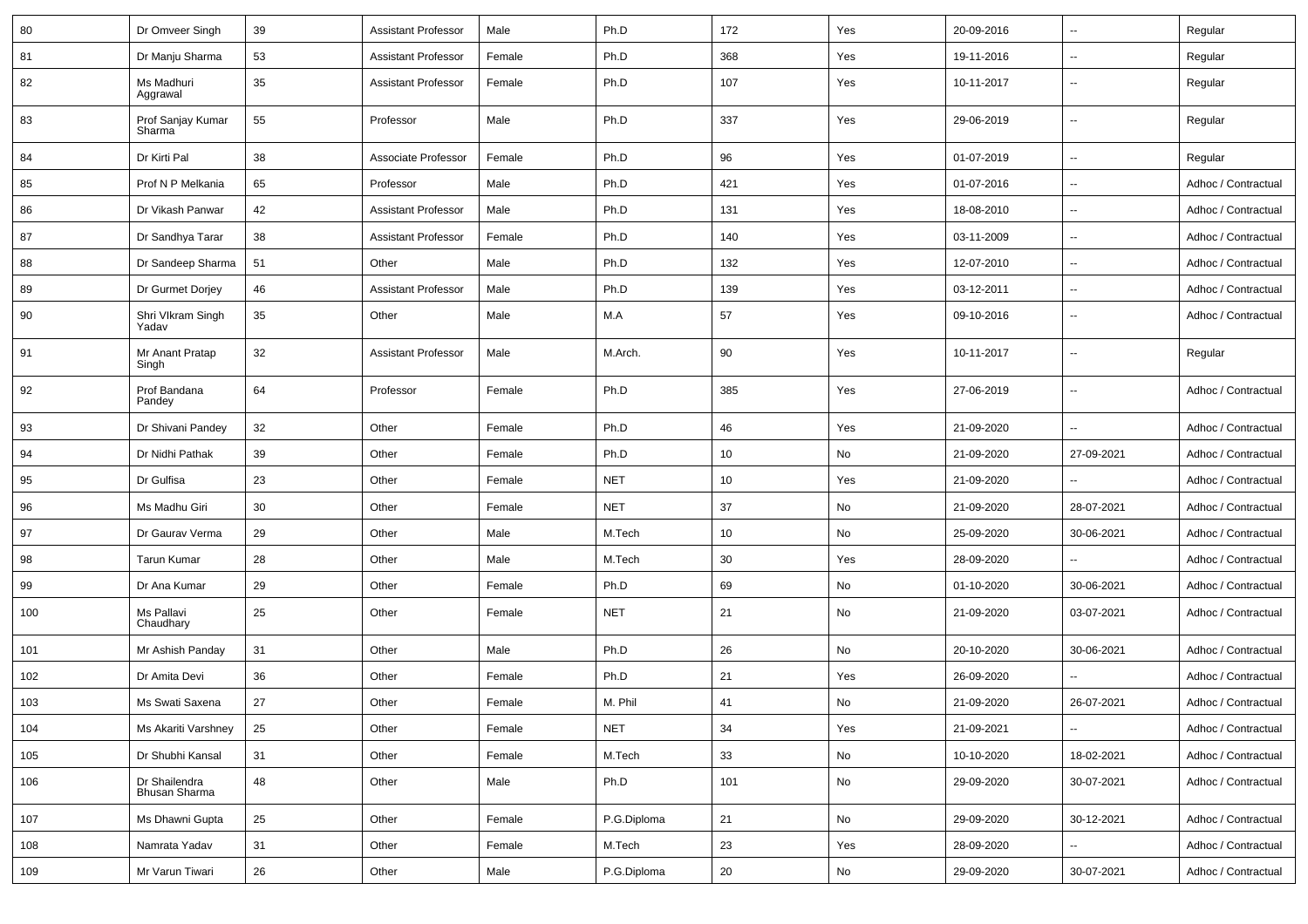| 80  | Dr Omveer Singh                | 39 | <b>Assistant Professor</b> | Male   | Ph.D        | 172 | Yes | 20-09-2016 | $\overline{\phantom{a}}$ | Regular             |
|-----|--------------------------------|----|----------------------------|--------|-------------|-----|-----|------------|--------------------------|---------------------|
| 81  | Dr Manju Sharma                | 53 | <b>Assistant Professor</b> | Female | Ph.D        | 368 | Yes | 19-11-2016 | $\mathbf{u}$             | Regular             |
| 82  | Ms Madhuri<br>Aggrawal         | 35 | <b>Assistant Professor</b> | Female | Ph.D        | 107 | Yes | 10-11-2017 | $\overline{\phantom{a}}$ | Regular             |
| 83  | Prof Sanjay Kumar<br>Sharma    | 55 | Professor                  | Male   | Ph.D        | 337 | Yes | 29-06-2019 | $\overline{\phantom{a}}$ | Regular             |
| 84  | Dr Kirti Pal                   | 38 | Associate Professor        | Female | Ph.D        | 96  | Yes | 01-07-2019 | $\sim$                   | Regular             |
| 85  | Prof N P Melkania              | 65 | Professor                  | Male   | Ph.D        | 421 | Yes | 01-07-2016 | $\sim$                   | Adhoc / Contractual |
| 86  | Dr Vikash Panwar               | 42 | <b>Assistant Professor</b> | Male   | Ph.D        | 131 | Yes | 18-08-2010 | $\sim$                   | Adhoc / Contractual |
| 87  | Dr Sandhya Tarar               | 38 | <b>Assistant Professor</b> | Female | Ph.D        | 140 | Yes | 03-11-2009 | $\sim$                   | Adhoc / Contractual |
| 88  | Dr Sandeep Sharma              | 51 | Other                      | Male   | Ph.D        | 132 | Yes | 12-07-2010 | $\sim$                   | Adhoc / Contractual |
| 89  | Dr Gurmet Dorjey               | 46 | <b>Assistant Professor</b> | Male   | Ph.D        | 139 | Yes | 03-12-2011 | $\sim$                   | Adhoc / Contractual |
| 90  | Shri Vlkram Singh<br>Yadav     | 35 | Other                      | Male   | M.A         | 57  | Yes | 09-10-2016 | $\overline{\phantom{a}}$ | Adhoc / Contractual |
| 91  | Mr Anant Pratap<br>Singh       | 32 | <b>Assistant Professor</b> | Male   | M.Arch.     | 90  | Yes | 10-11-2017 | $\overline{\phantom{a}}$ | Regular             |
| 92  | Prof Bandana<br>Pandey         | 64 | Professor                  | Female | Ph.D        | 385 | Yes | 27-06-2019 | $\sim$                   | Adhoc / Contractual |
| 93  | Dr Shivani Pandey              | 32 | Other                      | Female | Ph.D        | 46  | Yes | 21-09-2020 | $\overline{\phantom{a}}$ | Adhoc / Contractual |
| 94  | Dr Nidhi Pathak                | 39 | Other                      | Female | Ph.D        | 10  | No  | 21-09-2020 | 27-09-2021               | Adhoc / Contractual |
| 95  | Dr Gulfisa                     | 23 | Other                      | Female | <b>NET</b>  | 10  | Yes | 21-09-2020 |                          | Adhoc / Contractual |
| 96  | Ms Madhu Giri                  | 30 | Other                      | Female | <b>NET</b>  | 37  | No  | 21-09-2020 | 28-07-2021               | Adhoc / Contractual |
| 97  | Dr Gaurav Verma                | 29 | Other                      | Male   | M.Tech      | 10  | No  | 25-09-2020 | 30-06-2021               | Adhoc / Contractual |
| 98  | <b>Tarun Kumar</b>             | 28 | Other                      | Male   | M.Tech      | 30  | Yes | 28-09-2020 | $\sim$                   | Adhoc / Contractual |
| 99  | Dr Ana Kumar                   | 29 | Other                      | Female | Ph.D        | 69  | No  | 01-10-2020 | 30-06-2021               | Adhoc / Contractual |
| 100 | Ms Pallavi<br>Chaudhary        | 25 | Other                      | Female | <b>NET</b>  | 21  | No  | 21-09-2020 | 03-07-2021               | Adhoc / Contractual |
| 101 | Mr Ashish Panday               | 31 | Other                      | Male   | Ph.D        | 26  | No  | 20-10-2020 | 30-06-2021               | Adhoc / Contractual |
| 102 | Dr Amita Devi                  | 36 | Other                      | Female | Ph.D        | 21  | Yes | 26-09-2020 |                          | Adhoc / Contractual |
| 103 | Ms Swati Saxena                | 27 | Other                      | Female | M. Phil     | 41  | No  | 21-09-2020 | 26-07-2021               | Adhoc / Contractual |
| 104 | Ms Akariti Varshney            | 25 | Other                      | Female | <b>NET</b>  | 34  | Yes | 21-09-2021 | $\sim$                   | Adhoc / Contractual |
| 105 | Dr Shubhi Kansal               | 31 | Other                      | Female | M.Tech      | 33  | No  | 10-10-2020 | 18-02-2021               | Adhoc / Contractual |
| 106 | Dr Shailendra<br>Bhusan Sharma | 48 | Other                      | Male   | Ph.D        | 101 | No  | 29-09-2020 | 30-07-2021               | Adhoc / Contractual |
| 107 | Ms Dhawni Gupta                | 25 | Other                      | Female | P.G.Diploma | 21  | No  | 29-09-2020 | 30-12-2021               | Adhoc / Contractual |
| 108 | Namrata Yadav                  | 31 | Other                      | Female | M.Tech      | 23  | Yes | 28-09-2020 |                          | Adhoc / Contractual |
| 109 | Mr Varun Tiwari                | 26 | Other                      | Male   | P.G.Diploma | 20  | No  | 29-09-2020 | 30-07-2021               | Adhoc / Contractual |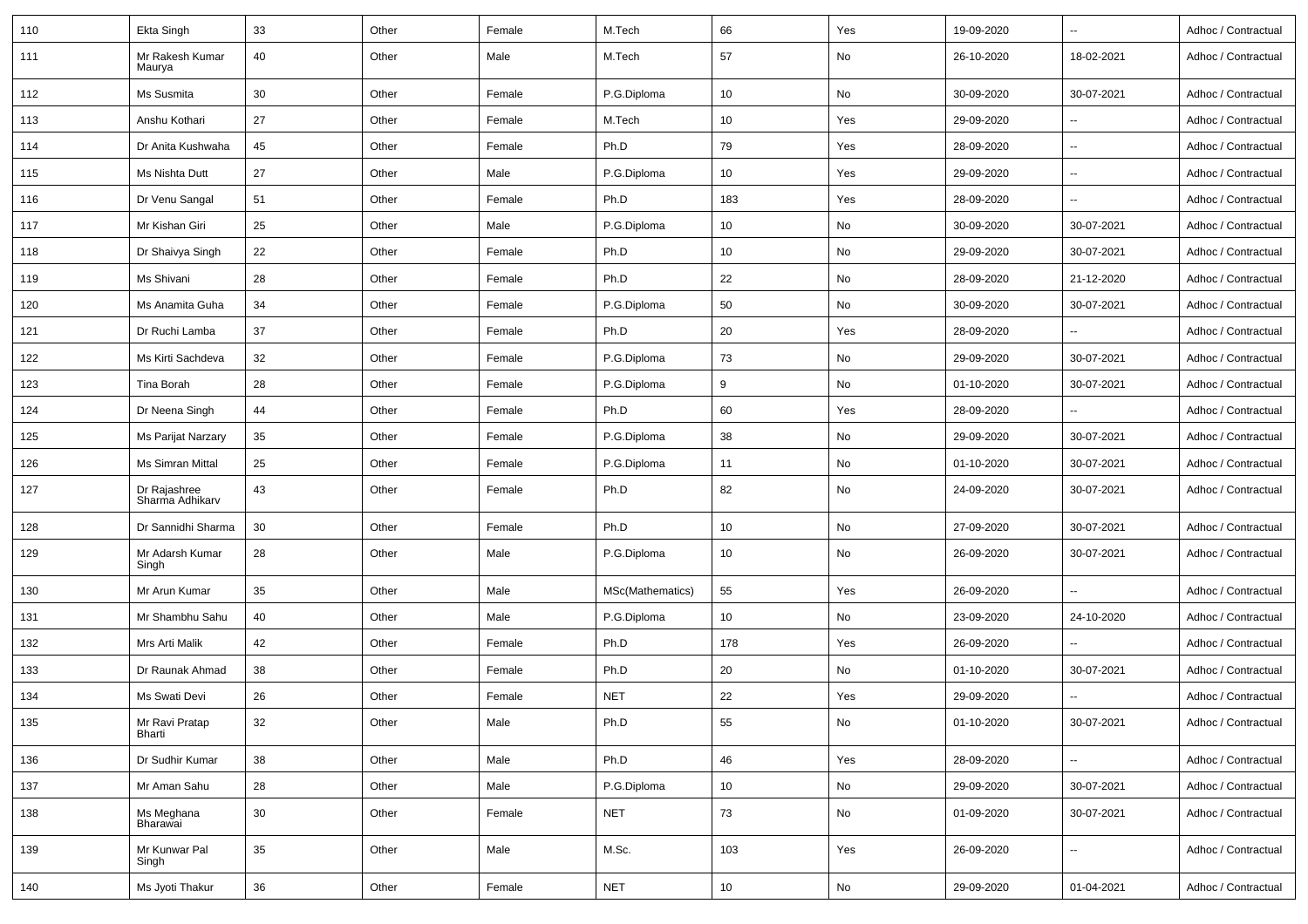| 110 | Ekta Singh                      | 33 | Other | Female | M.Tech           | 66              | Yes | 19-09-2020 |                          | Adhoc / Contractual |
|-----|---------------------------------|----|-------|--------|------------------|-----------------|-----|------------|--------------------------|---------------------|
| 111 | Mr Rakesh Kumar<br>Maurya       | 40 | Other | Male   | M.Tech           | 57              | No  | 26-10-2020 | 18-02-2021               | Adhoc / Contractual |
| 112 | Ms Susmita                      | 30 | Other | Female | P.G.Diploma      | 10              | No  | 30-09-2020 | 30-07-2021               | Adhoc / Contractual |
| 113 | Anshu Kothari                   | 27 | Other | Female | M.Tech           | 10              | Yes | 29-09-2020 | $\overline{\phantom{a}}$ | Adhoc / Contractual |
| 114 | Dr Anita Kushwaha               | 45 | Other | Female | Ph.D             | 79              | Yes | 28-09-2020 | $\overline{\phantom{a}}$ | Adhoc / Contractual |
| 115 | Ms Nishta Dutt                  | 27 | Other | Male   | P.G.Diploma      | 10              | Yes | 29-09-2020 | $\overline{\phantom{a}}$ | Adhoc / Contractual |
| 116 | Dr Venu Sangal                  | 51 | Other | Female | Ph.D             | 183             | Yes | 28-09-2020 | ÷.                       | Adhoc / Contractual |
| 117 | Mr Kishan Giri                  | 25 | Other | Male   | P.G.Diploma      | 10 <sup>°</sup> | No  | 30-09-2020 | 30-07-2021               | Adhoc / Contractual |
| 118 | Dr Shaivya Singh                | 22 | Other | Female | Ph.D             | 10              | No  | 29-09-2020 | 30-07-2021               | Adhoc / Contractual |
| 119 | Ms Shivani                      | 28 | Other | Female | Ph.D             | 22              | No  | 28-09-2020 | 21-12-2020               | Adhoc / Contractual |
| 120 | Ms Anamita Guha                 | 34 | Other | Female | P.G.Diploma      | 50              | No  | 30-09-2020 | 30-07-2021               | Adhoc / Contractual |
| 121 | Dr Ruchi Lamba                  | 37 | Other | Female | Ph.D             | 20              | Yes | 28-09-2020 |                          | Adhoc / Contractual |
| 122 | Ms Kirti Sachdeva               | 32 | Other | Female | P.G.Diploma      | 73              | No  | 29-09-2020 | 30-07-2021               | Adhoc / Contractual |
| 123 | Tina Borah                      | 28 | Other | Female | P.G.Diploma      | 9               | No  | 01-10-2020 | 30-07-2021               | Adhoc / Contractual |
| 124 | Dr Neena Singh                  | 44 | Other | Female | Ph.D             | 60              | Yes | 28-09-2020 | ⊷.                       | Adhoc / Contractual |
| 125 | Ms Parijat Narzary              | 35 | Other | Female | P.G.Diploma      | 38              | No  | 29-09-2020 | 30-07-2021               | Adhoc / Contractual |
| 126 | Ms Simran Mittal                | 25 | Other | Female | P.G.Diploma      | 11              | No  | 01-10-2020 | 30-07-2021               | Adhoc / Contractual |
| 127 | Dr Rajashree<br>Sharma Adhikarv | 43 | Other | Female | Ph.D             | 82              | No  | 24-09-2020 | 30-07-2021               | Adhoc / Contractual |
| 128 | Dr Sannidhi Sharma              | 30 | Other | Female | Ph.D             | 10              | No  | 27-09-2020 | 30-07-2021               | Adhoc / Contractual |
| 129 | Mr Adarsh Kumar<br>Singh        | 28 | Other | Male   | P.G.Diploma      | 10 <sup>°</sup> | No  | 26-09-2020 | 30-07-2021               | Adhoc / Contractual |
| 130 | Mr Arun Kumar                   | 35 | Other | Male   | MSc(Mathematics) | 55              | Yes | 26-09-2020 |                          | Adhoc / Contractual |
| 131 | Mr Shambhu Sahu                 | 40 | Other | Male   | P.G.Diploma      | 10 <sup>°</sup> | No  | 23-09-2020 | 24-10-2020               | Adhoc / Contractual |
| 132 | Mrs Arti Malik                  | 42 | Other | Female | Ph.D             | 178             | Yes | 26-09-2020 |                          | Adhoc / Contractual |
| 133 | Dr Raunak Ahmad                 | 38 | Other | Female | Ph.D             | 20              | No  | 01-10-2020 | 30-07-2021               | Adhoc / Contractual |
| 134 | Ms Swati Devi                   | 26 | Other | Female | <b>NET</b>       | 22              | Yes | 29-09-2020 |                          | Adhoc / Contractual |
| 135 | Mr Ravi Pratap<br>Bharti        | 32 | Other | Male   | Ph.D             | 55              | No  | 01-10-2020 | 30-07-2021               | Adhoc / Contractual |
| 136 | Dr Sudhir Kumar                 | 38 | Other | Male   | Ph.D             | 46              | Yes | 28-09-2020 | $\overline{\phantom{a}}$ | Adhoc / Contractual |
| 137 | Mr Aman Sahu                    | 28 | Other | Male   | P.G.Diploma      | 10              | No  | 29-09-2020 | 30-07-2021               | Adhoc / Contractual |
| 138 | Ms Meghana<br>Bharawai          | 30 | Other | Female | <b>NET</b>       | 73              | No  | 01-09-2020 | 30-07-2021               | Adhoc / Contractual |
| 139 | Mr Kunwar Pal<br>Singh          | 35 | Other | Male   | M.Sc.            | 103             | Yes | 26-09-2020 | $\overline{\phantom{a}}$ | Adhoc / Contractual |
| 140 | Ms Jyoti Thakur                 | 36 | Other | Female | <b>NET</b>       | 10              | No  | 29-09-2020 | 01-04-2021               | Adhoc / Contractual |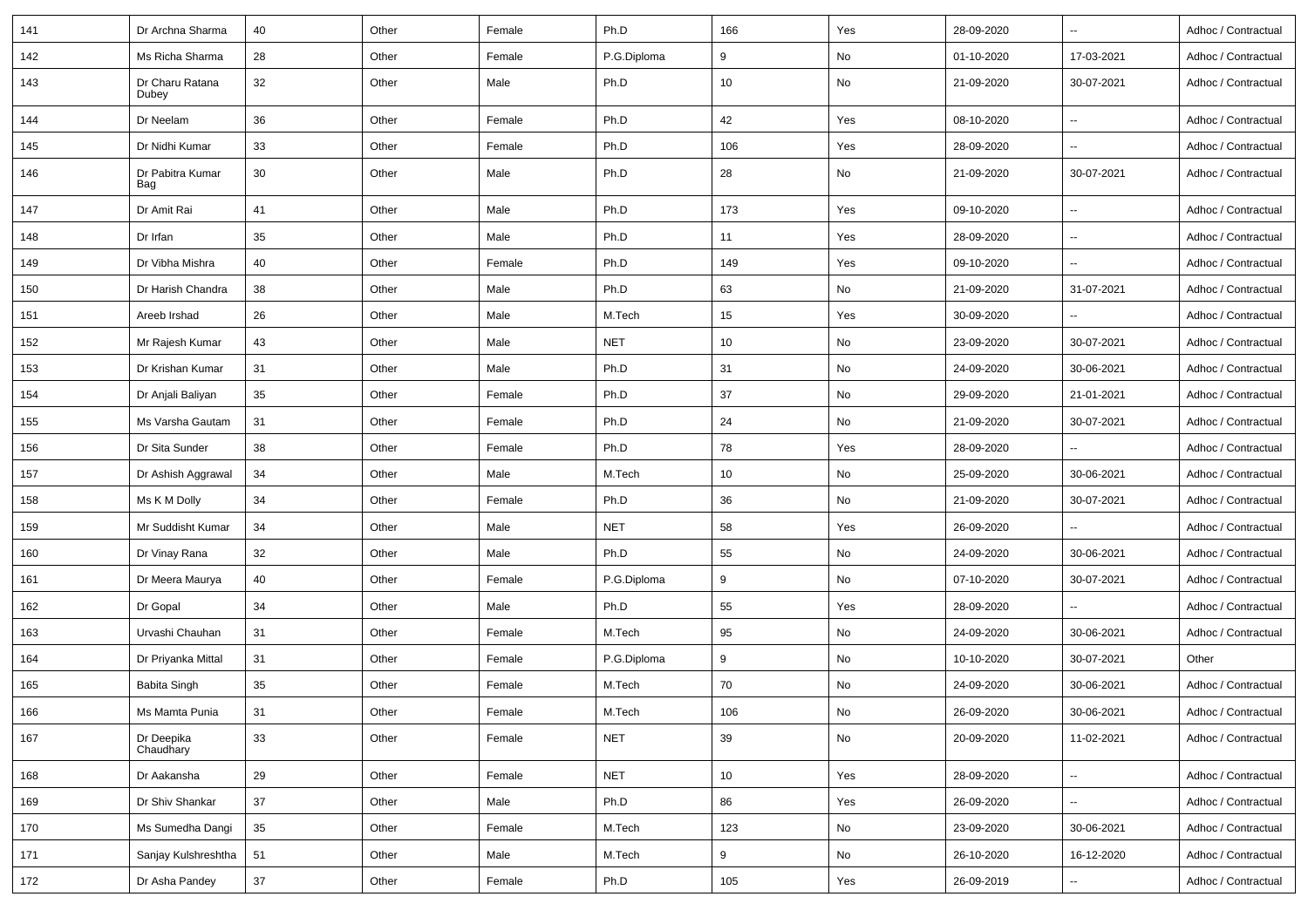| 141 | Dr Archna Sharma         | 40 | Other | Female | Ph.D        | 166 | Yes | 28-09-2020 | $\sim$                   | Adhoc / Contractual |
|-----|--------------------------|----|-------|--------|-------------|-----|-----|------------|--------------------------|---------------------|
| 142 | Ms Richa Sharma          | 28 | Other | Female | P.G.Diploma | 9   | No  | 01-10-2020 | 17-03-2021               | Adhoc / Contractual |
| 143 | Dr Charu Ratana<br>Dubey | 32 | Other | Male   | Ph.D        | 10  | No  | 21-09-2020 | 30-07-2021               | Adhoc / Contractual |
| 144 | Dr Neelam                | 36 | Other | Female | Ph.D        | 42  | Yes | 08-10-2020 | $\overline{\phantom{a}}$ | Adhoc / Contractual |
| 145 | Dr Nidhi Kumar           | 33 | Other | Female | Ph.D        | 106 | Yes | 28-09-2020 | $\overline{\phantom{a}}$ | Adhoc / Contractual |
| 146 | Dr Pabitra Kumar<br>Bag  | 30 | Other | Male   | Ph.D        | 28  | No  | 21-09-2020 | 30-07-2021               | Adhoc / Contractual |
| 147 | Dr Amit Rai              | 41 | Other | Male   | Ph.D        | 173 | Yes | 09-10-2020 | $\overline{\phantom{a}}$ | Adhoc / Contractual |
| 148 | Dr Irfan                 | 35 | Other | Male   | Ph.D        | 11  | Yes | 28-09-2020 | $\overline{\phantom{a}}$ | Adhoc / Contractual |
| 149 | Dr Vibha Mishra          | 40 | Other | Female | Ph.D        | 149 | Yes | 09-10-2020 | $\overline{\phantom{a}}$ | Adhoc / Contractual |
| 150 | Dr Harish Chandra        | 38 | Other | Male   | Ph.D        | 63  | No  | 21-09-2020 | 31-07-2021               | Adhoc / Contractual |
| 151 | Areeb Irshad             | 26 | Other | Male   | M.Tech      | 15  | Yes | 30-09-2020 |                          | Adhoc / Contractual |
| 152 | Mr Rajesh Kumar          | 43 | Other | Male   | <b>NET</b>  | 10  | No  | 23-09-2020 | 30-07-2021               | Adhoc / Contractual |
| 153 | Dr Krishan Kumar         | 31 | Other | Male   | Ph.D        | 31  | No  | 24-09-2020 | 30-06-2021               | Adhoc / Contractual |
| 154 | Dr Anjali Baliyan        | 35 | Other | Female | Ph.D        | 37  | No  | 29-09-2020 | 21-01-2021               | Adhoc / Contractual |
| 155 | Ms Varsha Gautam         | 31 | Other | Female | Ph.D        | 24  | No  | 21-09-2020 | 30-07-2021               | Adhoc / Contractual |
| 156 | Dr Sita Sunder           | 38 | Other | Female | Ph.D        | 78  | Yes | 28-09-2020 | $\overline{\phantom{a}}$ | Adhoc / Contractual |
| 157 | Dr Ashish Aggrawal       | 34 | Other | Male   | M.Tech      | 10  | No  | 25-09-2020 | 30-06-2021               | Adhoc / Contractual |
| 158 | Ms K M Dolly             | 34 | Other | Female | Ph.D        | 36  | No  | 21-09-2020 | 30-07-2021               | Adhoc / Contractual |
| 159 | Mr Suddisht Kumar        | 34 | Other | Male   | <b>NET</b>  | 58  | Yes | 26-09-2020 |                          | Adhoc / Contractual |
| 160 | Dr Vinay Rana            | 32 | Other | Male   | Ph.D        | 55  | No  | 24-09-2020 | 30-06-2021               | Adhoc / Contractual |
| 161 | Dr Meera Maurya          | 40 | Other | Female | P.G.Diploma | 9   | No  | 07-10-2020 | 30-07-2021               | Adhoc / Contractual |
| 162 | Dr Gopal                 | 34 | Other | Male   | Ph.D        | 55  | Yes | 28-09-2020 |                          | Adhoc / Contractual |
| 163 | Urvashi Chauhan          | 31 | Other | Female | M.Tech      | 95  | No  | 24-09-2020 | 30-06-2021               | Adhoc / Contractual |
| 164 | Dr Priyanka Mittal       | 31 | Other | Female | P.G.Diploma | 9   | No  | 10-10-2020 | 30-07-2021               | Other               |
| 165 | <b>Babita Singh</b>      | 35 | Other | Female | M.Tech      | 70  | No  | 24-09-2020 | 30-06-2021               | Adhoc / Contractual |
| 166 | Ms Mamta Punia           | 31 | Other | Female | M.Tech      | 106 | No  | 26-09-2020 | 30-06-2021               | Adhoc / Contractual |
| 167 | Dr Deepika<br>Chaudhary  | 33 | Other | Female | <b>NET</b>  | 39  | No  | 20-09-2020 | 11-02-2021               | Adhoc / Contractual |
| 168 | Dr Aakansha              | 29 | Other | Female | <b>NET</b>  | 10  | Yes | 28-09-2020 | $\sim$                   | Adhoc / Contractual |
| 169 | Dr Shiv Shankar          | 37 | Other | Male   | Ph.D        | 86  | Yes | 26-09-2020 | $\sim$                   | Adhoc / Contractual |
| 170 | Ms Sumedha Dangi         | 35 | Other | Female | M.Tech      | 123 | No  | 23-09-2020 | 30-06-2021               | Adhoc / Contractual |
| 171 | Sanjay Kulshreshtha      | 51 | Other | Male   | M.Tech      | 9   | No  | 26-10-2020 | 16-12-2020               | Adhoc / Contractual |
| 172 | Dr Asha Pandey           | 37 | Other | Female | Ph.D        | 105 | Yes | 26-09-2019 | $\sim$                   | Adhoc / Contractual |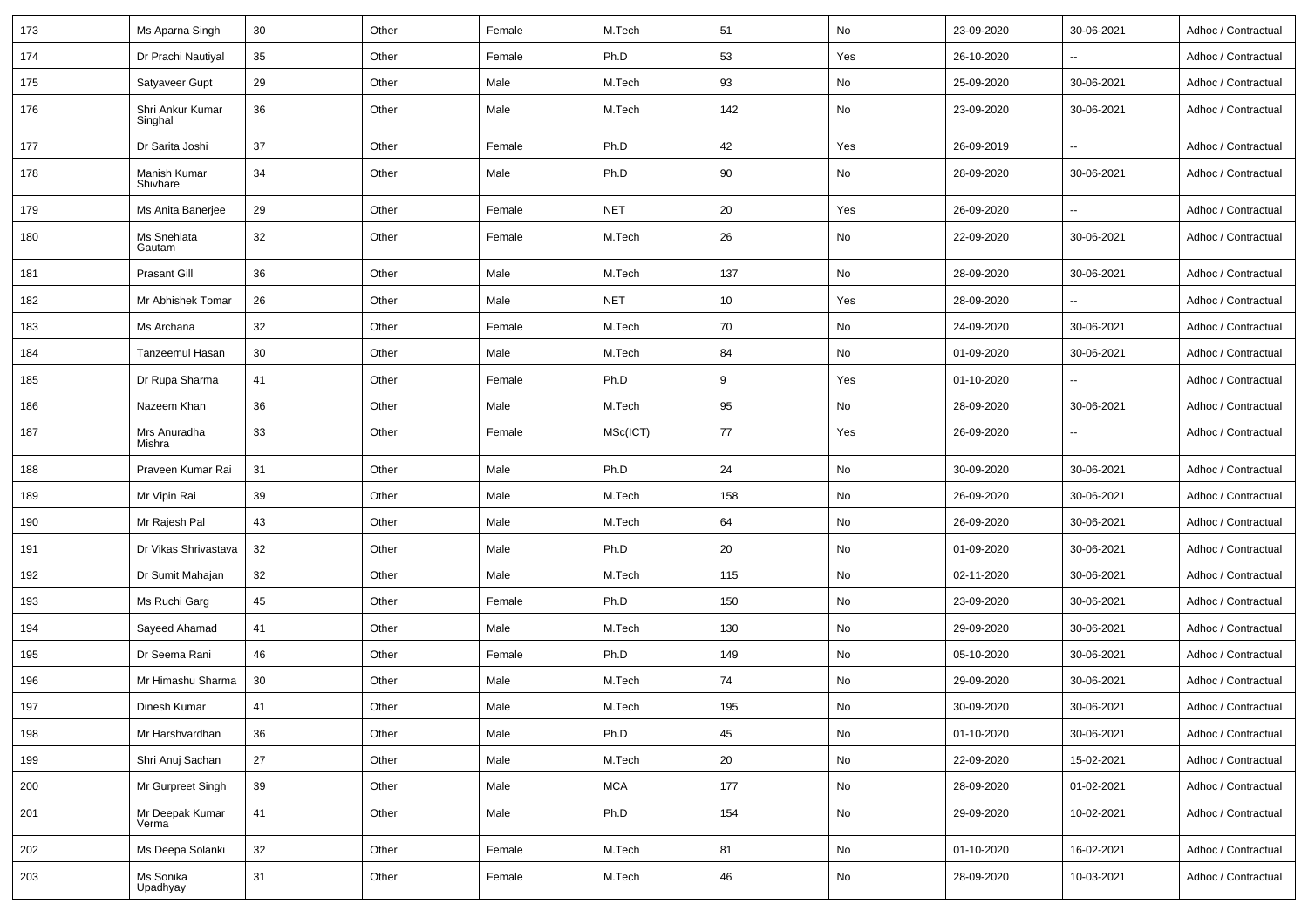| 173 | Ms Aparna Singh             | 30 | Other | Female | M.Tech     | 51  | No  | 23-09-2020 | 30-06-2021               | Adhoc / Contractual |
|-----|-----------------------------|----|-------|--------|------------|-----|-----|------------|--------------------------|---------------------|
| 174 | Dr Prachi Nautiyal          | 35 | Other | Female | Ph.D       | 53  | Yes | 26-10-2020 |                          | Adhoc / Contractual |
| 175 | Satyaveer Gupt              | 29 | Other | Male   | M.Tech     | 93  | No  | 25-09-2020 | 30-06-2021               | Adhoc / Contractual |
| 176 | Shri Ankur Kumar<br>Singhal | 36 | Other | Male   | M.Tech     | 142 | No  | 23-09-2020 | 30-06-2021               | Adhoc / Contractual |
| 177 | Dr Sarita Joshi             | 37 | Other | Female | Ph.D       | 42  | Yes | 26-09-2019 | $\overline{\phantom{a}}$ | Adhoc / Contractual |
| 178 | Manish Kumar<br>Shivhare    | 34 | Other | Male   | Ph.D       | 90  | No  | 28-09-2020 | 30-06-2021               | Adhoc / Contractual |
| 179 | Ms Anita Banerjee           | 29 | Other | Female | <b>NET</b> | 20  | Yes | 26-09-2020 |                          | Adhoc / Contractual |
| 180 | Ms Snehlata<br>Gautam       | 32 | Other | Female | M.Tech     | 26  | No  | 22-09-2020 | 30-06-2021               | Adhoc / Contractual |
| 181 | <b>Prasant Gill</b>         | 36 | Other | Male   | M.Tech     | 137 | No  | 28-09-2020 | 30-06-2021               | Adhoc / Contractual |
| 182 | Mr Abhishek Tomar           | 26 | Other | Male   | <b>NET</b> | 10  | Yes | 28-09-2020 |                          | Adhoc / Contractual |
| 183 | Ms Archana                  | 32 | Other | Female | M.Tech     | 70  | No  | 24-09-2020 | 30-06-2021               | Adhoc / Contractual |
| 184 | Tanzeemul Hasan             | 30 | Other | Male   | M.Tech     | 84  | No  | 01-09-2020 | 30-06-2021               | Adhoc / Contractual |
| 185 | Dr Rupa Sharma              | 41 | Other | Female | Ph.D       | 9   | Yes | 01-10-2020 |                          | Adhoc / Contractual |
| 186 | Nazeem Khan                 | 36 | Other | Male   | M.Tech     | 95  | No  | 28-09-2020 | 30-06-2021               | Adhoc / Contractual |
| 187 | Mrs Anuradha<br>Mishra      | 33 | Other | Female | MSc(ICT)   | 77  | Yes | 26-09-2020 |                          | Adhoc / Contractual |
| 188 | Praveen Kumar Rai           | 31 | Other | Male   | Ph.D       | 24  | No  | 30-09-2020 | 30-06-2021               | Adhoc / Contractual |
| 189 | Mr Vipin Rai                | 39 | Other | Male   | M.Tech     | 158 | No  | 26-09-2020 | 30-06-2021               | Adhoc / Contractual |
| 190 | Mr Rajesh Pal               | 43 | Other | Male   | M.Tech     | 64  | No  | 26-09-2020 | 30-06-2021               | Adhoc / Contractual |
| 191 | Dr Vikas Shrivastava        | 32 | Other | Male   | Ph.D       | 20  | No  | 01-09-2020 | 30-06-2021               | Adhoc / Contractual |
| 192 | Dr Sumit Mahajan            | 32 | Other | Male   | M.Tech     | 115 | No  | 02-11-2020 | 30-06-2021               | Adhoc / Contractual |
| 193 | Ms Ruchi Garg               | 45 | Other | Female | Ph.D       | 150 | No  | 23-09-2020 | 30-06-2021               | Adhoc / Contractual |
| 194 | Sayeed Ahamad               | 41 | Other | Male   | M.Tech     | 130 | No  | 29-09-2020 | 30-06-2021               | Adhoc / Contractual |
| 195 | Dr Seema Rani               | 46 | Other | Female | Ph.D       | 149 | No  | 05-10-2020 | 30-06-2021               | Adhoc / Contractual |
| 196 | Mr Himashu Sharma           | 30 | Other | Male   | M.Tech     | 74  | No  | 29-09-2020 | 30-06-2021               | Adhoc / Contractual |
| 197 | Dinesh Kumar                | 41 | Other | Male   | M.Tech     | 195 | No  | 30-09-2020 | 30-06-2021               | Adhoc / Contractual |
| 198 | Mr Harshvardhan             | 36 | Other | Male   | Ph.D       | 45  | No  | 01-10-2020 | 30-06-2021               | Adhoc / Contractual |
| 199 | Shri Anuj Sachan            | 27 | Other | Male   | M.Tech     | 20  | No  | 22-09-2020 | 15-02-2021               | Adhoc / Contractual |
| 200 | Mr Gurpreet Singh           | 39 | Other | Male   | <b>MCA</b> | 177 | No  | 28-09-2020 | 01-02-2021               | Adhoc / Contractual |
| 201 | Mr Deepak Kumar<br>Verma    | 41 | Other | Male   | Ph.D       | 154 | No  | 29-09-2020 | 10-02-2021               | Adhoc / Contractual |
| 202 | Ms Deepa Solanki            | 32 | Other | Female | M.Tech     | 81  | No  | 01-10-2020 | 16-02-2021               | Adhoc / Contractual |
| 203 | Ms Sonika<br>Upadhyay       | 31 | Other | Female | M.Tech     | 46  | No  | 28-09-2020 | 10-03-2021               | Adhoc / Contractual |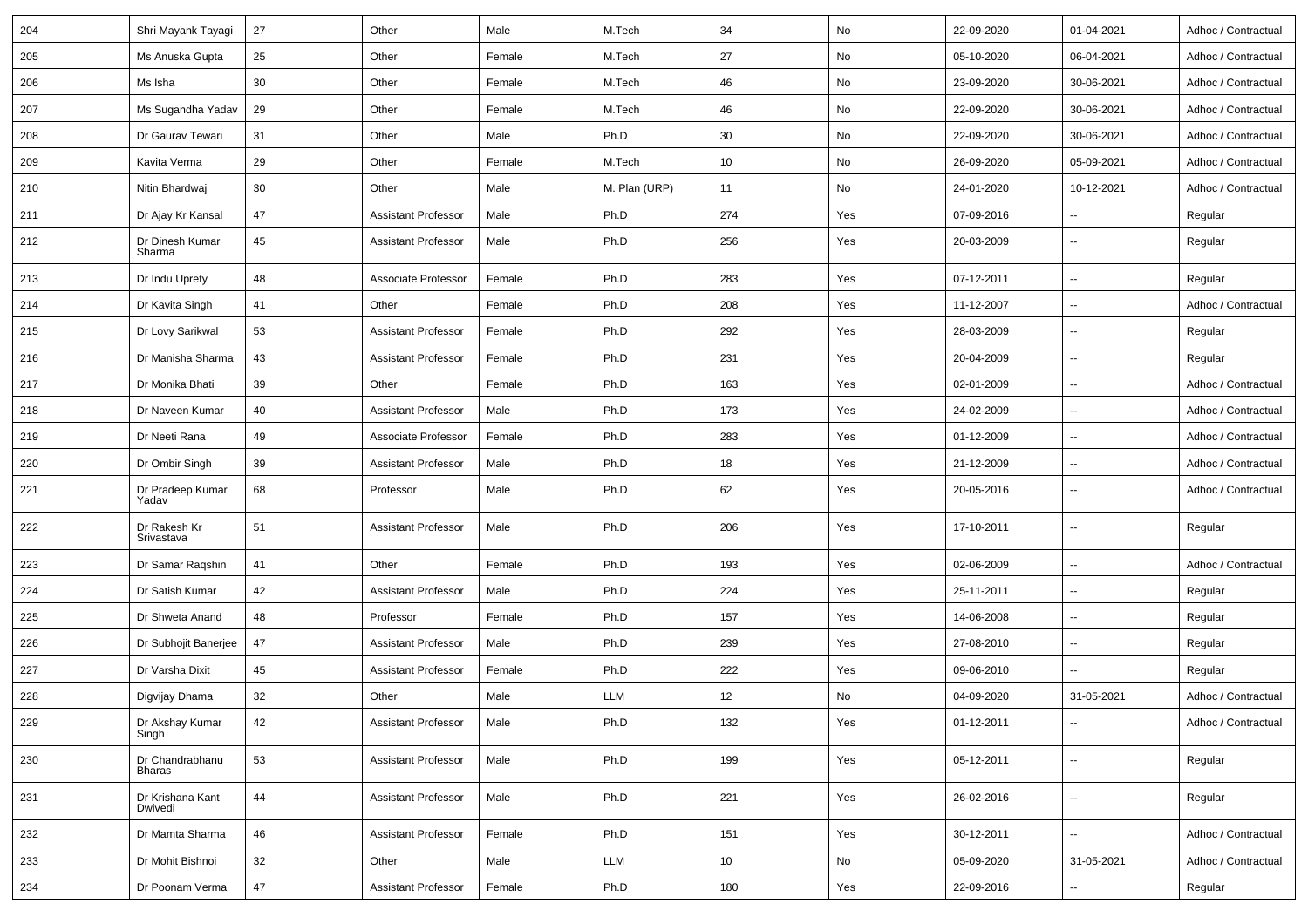| 204 | Shri Mayank Tayagi               | 27 | Other                      | Male   | M.Tech        | 34  | No  | 22-09-2020 | 01-04-2021               | Adhoc / Contractual |
|-----|----------------------------------|----|----------------------------|--------|---------------|-----|-----|------------|--------------------------|---------------------|
| 205 | Ms Anuska Gupta                  | 25 | Other                      | Female | M.Tech        | 27  | No  | 05-10-2020 | 06-04-2021               | Adhoc / Contractual |
| 206 | Ms Isha                          | 30 | Other                      | Female | M.Tech        | 46  | No  | 23-09-2020 | 30-06-2021               | Adhoc / Contractual |
| 207 | Ms Sugandha Yadav                | 29 | Other                      | Female | M.Tech        | 46  | No  | 22-09-2020 | 30-06-2021               | Adhoc / Contractual |
| 208 | Dr Gaurav Tewari                 | 31 | Other                      | Male   | Ph.D          | 30  | No  | 22-09-2020 | 30-06-2021               | Adhoc / Contractual |
| 209 | Kavita Verma                     | 29 | Other                      | Female | M.Tech        | 10  | No  | 26-09-2020 | 05-09-2021               | Adhoc / Contractual |
| 210 | Nitin Bhardwaj                   | 30 | Other                      | Male   | M. Plan (URP) | 11  | No  | 24-01-2020 | 10-12-2021               | Adhoc / Contractual |
| 211 | Dr Ajay Kr Kansal                | 47 | <b>Assistant Professor</b> | Male   | Ph.D          | 274 | Yes | 07-09-2016 | $\overline{\phantom{a}}$ | Regular             |
| 212 | Dr Dinesh Kumar<br>Sharma        | 45 | <b>Assistant Professor</b> | Male   | Ph.D          | 256 | Yes | 20-03-2009 | $\overline{\phantom{a}}$ | Regular             |
| 213 | Dr Indu Uprety                   | 48 | Associate Professor        | Female | Ph.D          | 283 | Yes | 07-12-2011 | $\overline{\phantom{a}}$ | Regular             |
| 214 | Dr Kavita Singh                  | 41 | Other                      | Female | Ph.D          | 208 | Yes | 11-12-2007 | $\overline{\phantom{a}}$ | Adhoc / Contractual |
| 215 | Dr Lovy Sarikwal                 | 53 | <b>Assistant Professor</b> | Female | Ph.D          | 292 | Yes | 28-03-2009 | $\overline{\phantom{a}}$ | Regular             |
| 216 | Dr Manisha Sharma                | 43 | <b>Assistant Professor</b> | Female | Ph.D          | 231 | Yes | 20-04-2009 | $\ddotsc$                | Regular             |
| 217 | Dr Monika Bhati                  | 39 | Other                      | Female | Ph.D          | 163 | Yes | 02-01-2009 | $\sim$                   | Adhoc / Contractual |
| 218 | Dr Naveen Kumar                  | 40 | <b>Assistant Professor</b> | Male   | Ph.D          | 173 | Yes | 24-02-2009 | $\sim$                   | Adhoc / Contractual |
| 219 | Dr Neeti Rana                    | 49 | Associate Professor        | Female | Ph.D          | 283 | Yes | 01-12-2009 | $\overline{\phantom{a}}$ | Adhoc / Contractual |
| 220 | Dr Ombir Singh                   | 39 | <b>Assistant Professor</b> | Male   | Ph.D          | 18  | Yes | 21-12-2009 | $\sim$                   | Adhoc / Contractual |
| 221 | Dr Pradeep Kumar<br>Yadav        | 68 | Professor                  | Male   | Ph.D          | 62  | Yes | 20-05-2016 | $\sim$                   | Adhoc / Contractual |
| 222 | Dr Rakesh Kr<br>Srivastava       | 51 | <b>Assistant Professor</b> | Male   | Ph.D          | 206 | Yes | 17-10-2011 | $\overline{\phantom{a}}$ | Regular             |
| 223 | Dr Samar Ragshin                 | 41 | Other                      | Female | Ph.D          | 193 | Yes | 02-06-2009 | $\overline{\phantom{a}}$ | Adhoc / Contractual |
| 224 | Dr Satish Kumar                  | 42 | <b>Assistant Professor</b> | Male   | Ph.D          | 224 | Yes | 25-11-2011 | $\overline{\phantom{a}}$ | Regular             |
| 225 | Dr Shweta Anand                  | 48 | Professor                  | Female | Ph.D          | 157 | Yes | 14-06-2008 | $\sim$                   | Regular             |
| 226 | Dr Subhojit Banerjee             | 47 | <b>Assistant Professor</b> | Male   | Ph.D          | 239 | Yes | 27-08-2010 | $\sim$                   | Regular             |
| 227 | Dr Varsha Dixit                  | 45 | <b>Assistant Professor</b> | Female | Ph.D          | 222 | Yes | 09-06-2010 | Ξ.                       | Regular             |
| 228 | Digvijay Dhama                   | 32 | Other                      | Male   | LLM           | 12  | No  | 04-09-2020 | 31-05-2021               | Adhoc / Contractual |
| 229 | Dr Akshay Kumar<br>Singh         | 42 | <b>Assistant Professor</b> | Male   | Ph.D          | 132 | Yes | 01-12-2011 | $\sim$                   | Adhoc / Contractual |
| 230 | Dr Chandrabhanu<br><b>Bharas</b> | 53 | <b>Assistant Professor</b> | Male   | Ph.D          | 199 | Yes | 05-12-2011 | $\sim$                   | Regular             |
| 231 | Dr Krishana Kant<br>Dwivedi      | 44 | <b>Assistant Professor</b> | Male   | Ph.D          | 221 | Yes | 26-02-2016 | $\rightarrow$            | Regular             |
| 232 | Dr Mamta Sharma                  | 46 | <b>Assistant Professor</b> | Female | Ph.D          | 151 | Yes | 30-12-2011 | $\overline{\phantom{a}}$ | Adhoc / Contractual |
| 233 | Dr Mohit Bishnoi                 | 32 | Other                      | Male   | LLM           | 10  | No  | 05-09-2020 | 31-05-2021               | Adhoc / Contractual |
| 234 | Dr Poonam Verma                  | 47 | <b>Assistant Professor</b> | Female | Ph.D          | 180 | Yes | 22-09-2016 | $\sim$                   | Regular             |